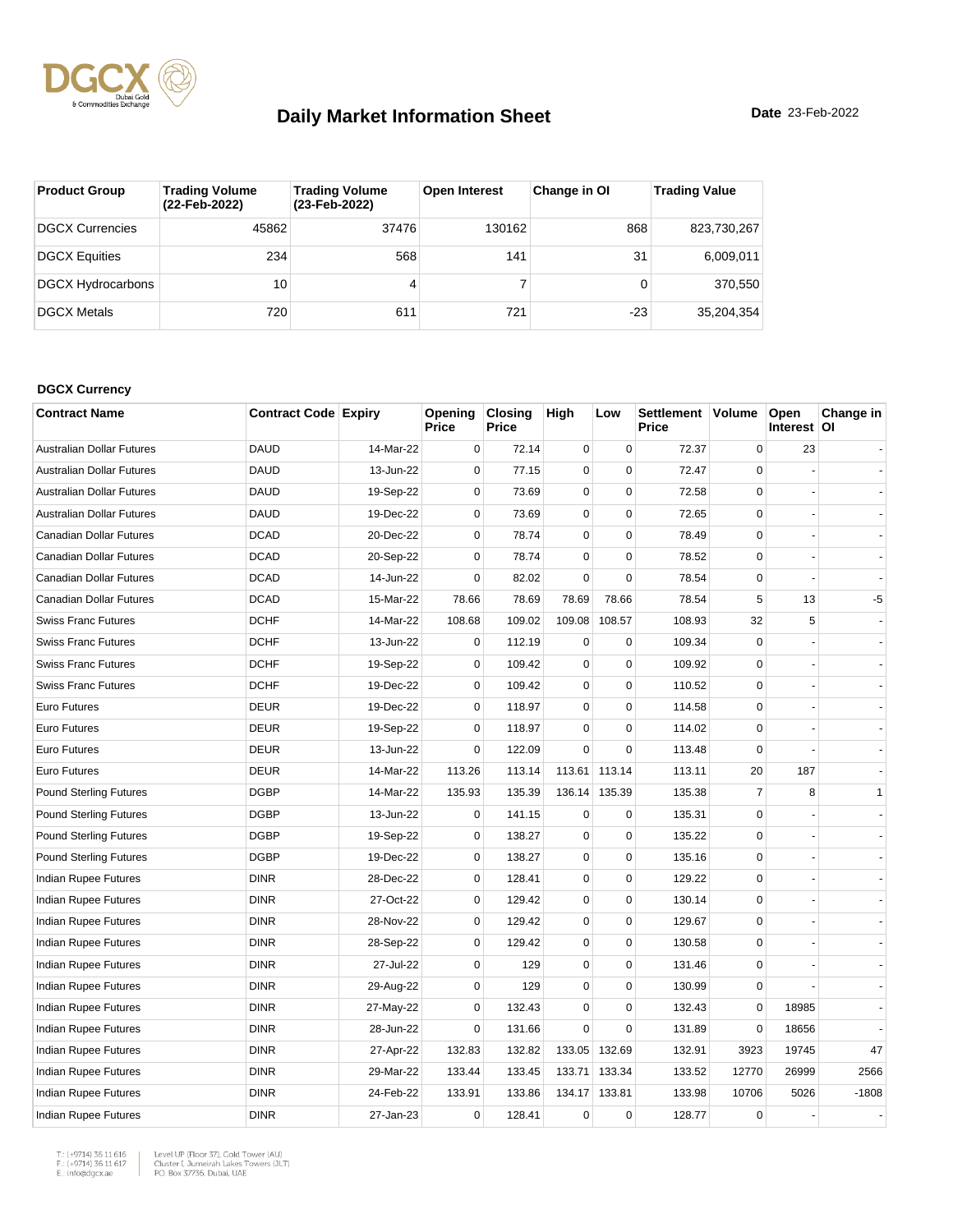

| <b>Product Group</b>     | <b>Trading Volume</b><br>(22-Feb-2022) | <b>Trading Volume</b><br>(23-Feb-2022) | <b>Open Interest</b> | Change in OI | <b>Trading Value</b> |
|--------------------------|----------------------------------------|----------------------------------------|----------------------|--------------|----------------------|
| DGCX Currencies          | 45862                                  | 37476                                  | 130162               | 868          | 823,730,267          |
| <b>DGCX Equities</b>     | 234                                    | 568                                    | 141                  | 31           | 6,009,011            |
| <b>DGCX Hydrocarbons</b> | 10                                     |                                        |                      |              | 370.550              |
| <b>DGCX Metals</b>       | 720                                    | 611                                    | 721                  | $-23$        | 35.204.354           |

#### **DGCX Currency**

| <b>Contract Name</b>             | <b>Contract Code Expiry</b> |           | Opening<br>Price | <b>Closing</b><br>Price | High        | Low         | Settlement Volume<br>Price |                | Open<br>Interest   OI | Change in |
|----------------------------------|-----------------------------|-----------|------------------|-------------------------|-------------|-------------|----------------------------|----------------|-----------------------|-----------|
| <b>Australian Dollar Futures</b> | <b>DAUD</b>                 | 14-Mar-22 | $\mathbf 0$      | 72.14                   | $\mathbf 0$ | $\mathbf 0$ | 72.37                      | $\mathbf 0$    | 23                    |           |
| <b>Australian Dollar Futures</b> | <b>DAUD</b>                 | 13-Jun-22 | $\Omega$         | 77.15                   | $\mathbf 0$ | $\Omega$    | 72.47                      | $\Omega$       |                       |           |
| <b>Australian Dollar Futures</b> | <b>DAUD</b>                 | 19-Sep-22 | $\mathbf 0$      | 73.69                   | $\mathbf 0$ | $\mathbf 0$ | 72.58                      | $\mathbf 0$    |                       |           |
| <b>Australian Dollar Futures</b> | <b>DAUD</b>                 | 19-Dec-22 | $\mathbf 0$      | 73.69                   | $\mathbf 0$ | $\mathbf 0$ | 72.65                      | $\mathbf 0$    |                       |           |
| Canadian Dollar Futures          | <b>DCAD</b>                 | 20-Dec-22 | $\mathbf 0$      | 78.74                   | $\pmb{0}$   | $\Omega$    | 78.49                      | $\Omega$       |                       |           |
| Canadian Dollar Futures          | <b>DCAD</b>                 | 20-Sep-22 | $\mathbf 0$      | 78.74                   | $\pmb{0}$   | $\pmb{0}$   | 78.52                      | $\mathbf 0$    |                       |           |
| Canadian Dollar Futures          | <b>DCAD</b>                 | 14-Jun-22 | $\mathbf 0$      | 82.02                   | $\mathbf 0$ | $\Omega$    | 78.54                      | $\mathbf 0$    |                       |           |
| Canadian Dollar Futures          | <b>DCAD</b>                 | 15-Mar-22 | 78.66            | 78.69                   | 78.69       | 78.66       | 78.54                      | 5              | 13                    | $-5$      |
| <b>Swiss Franc Futures</b>       | <b>DCHF</b>                 | 14-Mar-22 | 108.68           | 109.02                  | 109.08      | 108.57      | 108.93                     | 32             | 5                     |           |
| <b>Swiss Franc Futures</b>       | <b>DCHF</b>                 | 13-Jun-22 | $\mathbf 0$      | 112.19                  | $\mathbf 0$ | $\mathbf 0$ | 109.34                     | $\Omega$       |                       |           |
| <b>Swiss Franc Futures</b>       | <b>DCHF</b>                 | 19-Sep-22 | $\mathbf 0$      | 109.42                  | $\mathbf 0$ | $\mathbf 0$ | 109.92                     | $\mathbf 0$    |                       |           |
| <b>Swiss Franc Futures</b>       | <b>DCHF</b>                 | 19-Dec-22 | $\mathbf 0$      | 109.42                  | $\mathbf 0$ | $\mathbf 0$ | 110.52                     | $\mathbf 0$    |                       |           |
| Euro Futures                     | <b>DEUR</b>                 | 19-Dec-22 | $\mathbf 0$      | 118.97                  | $\mathbf 0$ | $\mathbf 0$ | 114.58                     | $\mathbf 0$    |                       |           |
| Euro Futures                     | <b>DEUR</b>                 | 19-Sep-22 | $\mathbf 0$      | 118.97                  | $\pmb{0}$   | $\mathbf 0$ | 114.02                     | $\Omega$       |                       |           |
| <b>Euro Futures</b>              | <b>DEUR</b>                 | 13-Jun-22 | $\mathbf 0$      | 122.09                  | $\Omega$    | $\mathbf 0$ | 113.48                     | $\Omega$       |                       |           |
| <b>Euro Futures</b>              | <b>DEUR</b>                 | 14-Mar-22 | 113.26           | 113.14                  | 113.61      | 113.14      | 113.11                     | 20             | 187                   |           |
| <b>Pound Sterling Futures</b>    | <b>DGBP</b>                 | 14-Mar-22 | 135.93           | 135.39                  | 136.14      | 135.39      | 135.38                     | $\overline{7}$ | 8                     | 1         |
| <b>Pound Sterling Futures</b>    | <b>DGBP</b>                 | 13-Jun-22 | $\mathbf 0$      | 141.15                  | $\mathbf 0$ | $\mathbf 0$ | 135.31                     | $\Omega$       |                       |           |
| <b>Pound Sterling Futures</b>    | <b>DGBP</b>                 | 19-Sep-22 | $\mathbf 0$      | 138.27                  | $\pmb{0}$   | $\pmb{0}$   | 135.22                     | $\mathbf 0$    |                       |           |
| <b>Pound Sterling Futures</b>    | <b>DGBP</b>                 | 19-Dec-22 | $\mathbf 0$      | 138.27                  | 0           | $\mathbf 0$ | 135.16                     | $\mathbf 0$    |                       |           |
| Indian Rupee Futures             | <b>DINR</b>                 | 28-Dec-22 | $\mathbf 0$      | 128.41                  | $\pmb{0}$   | $\mathbf 0$ | 129.22                     | $\mathbf 0$    |                       |           |
| Indian Rupee Futures             | <b>DINR</b>                 | 27-Oct-22 | 0                | 129.42                  | $\pmb{0}$   | 0           | 130.14                     | $\Omega$       |                       |           |
| Indian Rupee Futures             | <b>DINR</b>                 | 28-Nov-22 | $\Omega$         | 129.42                  | $\mathbf 0$ | $\mathbf 0$ | 129.67                     | $\Omega$       |                       |           |
| Indian Rupee Futures             | <b>DINR</b>                 | 28-Sep-22 | $\mathbf 0$      | 129.42                  | $\mathbf 0$ | $\mathbf 0$ | 130.58                     | $\mathbf 0$    |                       |           |
| <b>Indian Rupee Futures</b>      | <b>DINR</b>                 | 27-Jul-22 | $\mathbf 0$      | 129                     | $\mathbf 0$ | $\mathbf 0$ | 131.46                     | $\mathbf 0$    |                       |           |
| Indian Rupee Futures             | <b>DINR</b>                 | 29-Aug-22 | $\mathbf 0$      | 129                     | $\pmb{0}$   | $\pmb{0}$   | 130.99                     | $\mathbf 0$    |                       |           |
| Indian Rupee Futures             | <b>DINR</b>                 | 27-May-22 | $\mathbf 0$      | 132.43                  | $\pmb{0}$   | $\pmb{0}$   | 132.43                     | $\mathbf 0$    | 18985                 |           |
| <b>Indian Rupee Futures</b>      | <b>DINR</b>                 | 28-Jun-22 | $\mathbf 0$      | 131.66                  | $\mathbf 0$ | $\mathbf 0$ | 131.89                     | $\mathbf 0$    | 18656                 |           |
| Indian Rupee Futures             | <b>DINR</b>                 | 27-Apr-22 | 132.83           | 132.82                  | 133.05      | 132.69      | 132.91                     | 3923           | 19745                 | 47        |
| Indian Rupee Futures             | <b>DINR</b>                 | 29-Mar-22 | 133.44           | 133.45                  | 133.71      | 133.34      | 133.52                     | 12770          | 26999                 | 2566      |
| Indian Rupee Futures             | <b>DINR</b>                 | 24-Feb-22 | 133.91           | 133.86                  | 134.17      | 133.81      | 133.98                     | 10706          | 5026                  | $-1808$   |
| Indian Rupee Futures             | <b>DINR</b>                 | 27-Jan-23 | $\mathbf 0$      | 128.41                  | $\pmb{0}$   | $\mathbf 0$ | 128.77                     | $\mathbf 0$    |                       |           |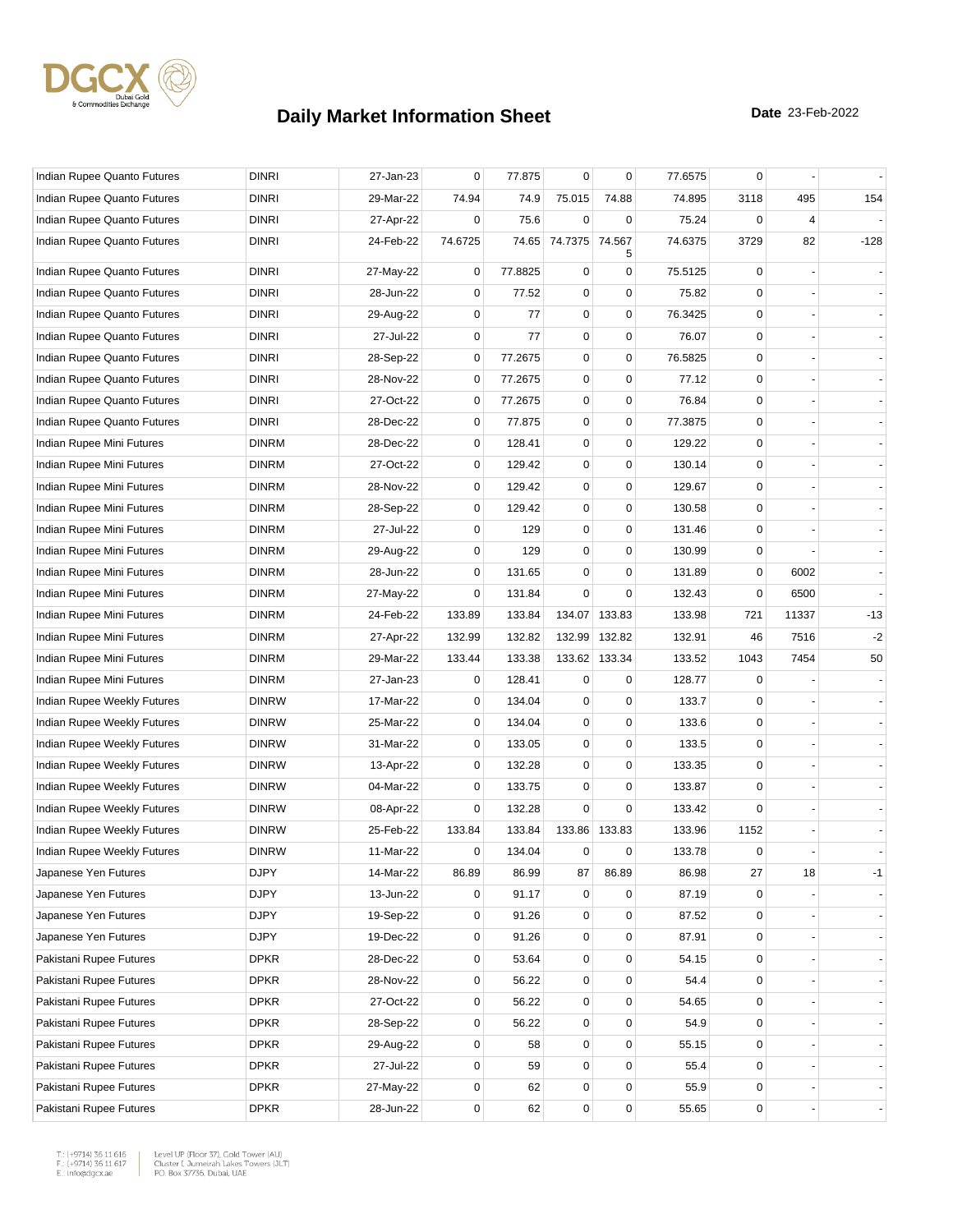

| Indian Rupee Quanto Futures | <b>DINRI</b> | 27-Jan-23 | 0       | 77.875  | $\mathbf 0$ | 0                   | 77.6575 | $\mathbf 0$ |       |        |
|-----------------------------|--------------|-----------|---------|---------|-------------|---------------------|---------|-------------|-------|--------|
| Indian Rupee Quanto Futures | <b>DINRI</b> | 29-Mar-22 | 74.94   | 74.9    | 75.015      | 74.88               | 74.895  | 3118        | 495   | 154    |
| Indian Rupee Quanto Futures | <b>DINRI</b> | 27-Apr-22 | 0       | 75.6    | $\mathbf 0$ | 0                   | 75.24   | $\Omega$    | 4     |        |
| Indian Rupee Quanto Futures | <b>DINRI</b> | 24-Feb-22 | 74.6725 | 74.65   | 74.7375     | 74.567<br>5         | 74.6375 | 3729        | 82    | $-128$ |
| Indian Rupee Quanto Futures | <b>DINRI</b> | 27-May-22 | 0       | 77.8825 | $\mathbf 0$ | 0                   | 75.5125 | 0           |       |        |
| Indian Rupee Quanto Futures | <b>DINRI</b> | 28-Jun-22 | 0       | 77.52   | $\mathbf 0$ | 0                   | 75.82   | $\Omega$    |       |        |
| Indian Rupee Quanto Futures | <b>DINRI</b> | 29-Aug-22 | 0       | 77      | $\pmb{0}$   | 0                   | 76.3425 | 0           |       |        |
| Indian Rupee Quanto Futures | <b>DINRI</b> | 27-Jul-22 | 0       | 77      | $\pmb{0}$   | 0                   | 76.07   | 0           |       |        |
| Indian Rupee Quanto Futures | <b>DINRI</b> | 28-Sep-22 | 0       | 77.2675 | 0           | 0                   | 76.5825 | 0           |       |        |
| Indian Rupee Quanto Futures | <b>DINRI</b> | 28-Nov-22 | 0       | 77.2675 | $\mathbf 0$ | 0                   | 77.12   | $\mathbf 0$ |       |        |
| Indian Rupee Quanto Futures | <b>DINRI</b> | 27-Oct-22 | 0       | 77.2675 | $\pmb{0}$   | 0                   | 76.84   | 0           |       |        |
| Indian Rupee Quanto Futures | <b>DINRI</b> | 28-Dec-22 | 0       | 77.875  | 0           | 0                   | 77.3875 | 0           |       |        |
| Indian Rupee Mini Futures   | <b>DINRM</b> | 28-Dec-22 | 0       | 128.41  | 0           | 0                   | 129.22  | $\mathbf 0$ |       |        |
| Indian Rupee Mini Futures   | <b>DINRM</b> | 27-Oct-22 | 0       | 129.42  | $\pmb{0}$   | 0                   | 130.14  | $\mathbf 0$ |       |        |
| Indian Rupee Mini Futures   | <b>DINRM</b> | 28-Nov-22 | 0       | 129.42  | $\mathbf 0$ | 0                   | 129.67  | $\mathbf 0$ |       |        |
| Indian Rupee Mini Futures   | <b>DINRM</b> | 28-Sep-22 | 0       | 129.42  | 0           | 0                   | 130.58  | $\mathbf 0$ |       |        |
| Indian Rupee Mini Futures   | <b>DINRM</b> | 27-Jul-22 | 0       | 129     | 0           | 0                   | 131.46  | 0           |       |        |
| Indian Rupee Mini Futures   | <b>DINRM</b> | 29-Aug-22 | 0       | 129     | $\mathbf 0$ | 0                   | 130.99  | 0           |       |        |
| Indian Rupee Mini Futures   | <b>DINRM</b> | 28-Jun-22 | 0       | 131.65  | 0           | 0                   | 131.89  | 0           | 6002  |        |
| Indian Rupee Mini Futures   | <b>DINRM</b> | 27-May-22 | 0       | 131.84  | $\mathbf 0$ | 0                   | 132.43  | $\mathbf 0$ | 6500  |        |
| Indian Rupee Mini Futures   | <b>DINRM</b> | 24-Feb-22 | 133.89  | 133.84  | 134.07      | 133.83              | 133.98  | 721         | 11337 | $-13$  |
| Indian Rupee Mini Futures   | <b>DINRM</b> | 27-Apr-22 | 132.99  | 132.82  | 132.99      | 132.82              | 132.91  | 46          | 7516  | $-2$   |
| Indian Rupee Mini Futures   | <b>DINRM</b> | 29-Mar-22 | 133.44  | 133.38  | 133.62      | 133.34              | 133.52  | 1043        | 7454  | 50     |
| Indian Rupee Mini Futures   | <b>DINRM</b> | 27-Jan-23 | 0       | 128.41  | 0           | 0                   | 128.77  | 0           |       |        |
| Indian Rupee Weekly Futures | <b>DINRW</b> | 17-Mar-22 | 0       | 134.04  | $\mathbf 0$ | $\mathbf 0$         | 133.7   | 0           |       |        |
| Indian Rupee Weekly Futures | <b>DINRW</b> | 25-Mar-22 | 0       | 134.04  | 0           | 0                   | 133.6   | $\mathbf 0$ |       |        |
| Indian Rupee Weekly Futures | <b>DINRW</b> | 31-Mar-22 | 0       | 133.05  | 0           | 0                   | 133.5   | 0           |       |        |
| Indian Rupee Weekly Futures | <b>DINRW</b> | 13-Apr-22 | 0       | 132.28  | $\pmb{0}$   | 0                   | 133.35  | 0           |       |        |
| Indian Rupee Weekly Futures | <b>DINRW</b> | 04-Mar-22 | 0       | 133.75  | 0           | 0                   | 133.87  | 0           |       |        |
| Indian Rupee Weekly Futures | <b>DINRW</b> | 08-Apr-22 | 0       | 132.28  | $\mathbf 0$ | 0                   | 133.42  | $\Omega$    |       |        |
| Indian Rupee Weekly Futures | <b>DINRW</b> | 25-Feb-22 | 133.84  | 133.84  | 133.86      | 133.83              | 133.96  | 1152        |       |        |
| Indian Rupee Weekly Futures | <b>DINRW</b> | 11-Mar-22 | 0       | 134.04  | $\mathbf 0$ | 0                   | 133.78  | $\mathbf 0$ |       |        |
| Japanese Yen Futures        | <b>DJPY</b>  | 14-Mar-22 | 86.89   | 86.99   | 87          | 86.89               | 86.98   | 27          | 18    | $-1$   |
| Japanese Yen Futures        | <b>DJPY</b>  | 13-Jun-22 | 0       | 91.17   | $\pmb{0}$   | 0                   | 87.19   | 0           |       |        |
| Japanese Yen Futures        | <b>DJPY</b>  | 19-Sep-22 | 0       | 91.26   | $\mathbf 0$ | $\mathbf 0$         | 87.52   | 0           |       |        |
| Japanese Yen Futures        | <b>DJPY</b>  | 19-Dec-22 | 0       | 91.26   | 0           | $\mathbf 0$         | 87.91   | $\mathbf 0$ |       |        |
| Pakistani Rupee Futures     | <b>DPKR</b>  | 28-Dec-22 | 0       | 53.64   | $\pmb{0}$   | $\mathbf 0$         | 54.15   | $\mathbf 0$ |       |        |
| Pakistani Rupee Futures     | <b>DPKR</b>  | 28-Nov-22 | 0       | 56.22   | $\pmb{0}$   | $\mathbf 0$         | 54.4    | 0           |       | $\sim$ |
| Pakistani Rupee Futures     | <b>DPKR</b>  | 27-Oct-22 | 0       | 56.22   | 0           | $\mathbf 0$         | 54.65   | 0           |       |        |
| Pakistani Rupee Futures     | <b>DPKR</b>  | 28-Sep-22 | 0       | 56.22   | 0           | 0                   | 54.9    | $\mathbf 0$ |       |        |
| Pakistani Rupee Futures     | <b>DPKR</b>  | 29-Aug-22 | 0       | 58      | 0           | $\mathbf 0$         | 55.15   | $\mathbf 0$ |       |        |
| Pakistani Rupee Futures     | <b>DPKR</b>  | 27-Jul-22 | 0       | 59      | 0           | 0                   | 55.4    | 0           |       |        |
| Pakistani Rupee Futures     | <b>DPKR</b>  | 27-May-22 | 0       | 62      | 0           | $\mathbf 0$         | 55.9    | 0           |       |        |
| Pakistani Rupee Futures     | <b>DPKR</b>  | 28-Jun-22 | 0       | 62      | 0           | $\mathsf{O}\xspace$ | 55.65   | 0           |       |        |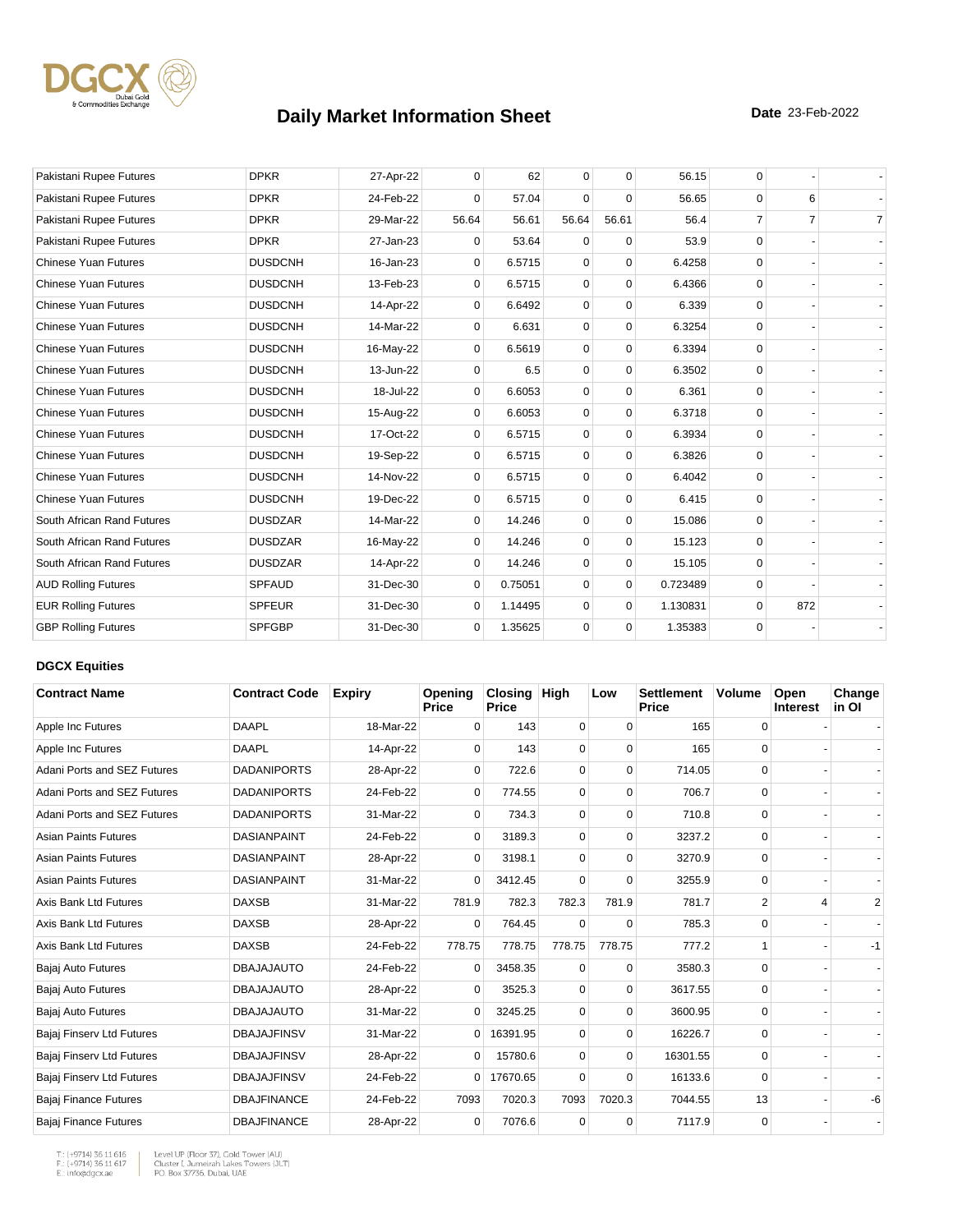

| Pakistani Rupee Futures     | <b>DPKR</b>    | 27-Apr-22 | $\mathbf{0}$ | 62      | $\mathbf 0$ | $\mathbf 0$ | 56.15    | 0              |                |                |
|-----------------------------|----------------|-----------|--------------|---------|-------------|-------------|----------|----------------|----------------|----------------|
| Pakistani Rupee Futures     | <b>DPKR</b>    | 24-Feb-22 | $\Omega$     | 57.04   | $\Omega$    | $\Omega$    | 56.65    | $\Omega$       | 6              |                |
| Pakistani Rupee Futures     | <b>DPKR</b>    | 29-Mar-22 | 56.64        | 56.61   | 56.64       | 56.61       | 56.4     | $\overline{7}$ | $\overline{7}$ | $\overline{7}$ |
| Pakistani Rupee Futures     | <b>DPKR</b>    | 27-Jan-23 | 0            | 53.64   | $\mathbf 0$ | $\mathbf 0$ | 53.9     | $\Omega$       |                |                |
| <b>Chinese Yuan Futures</b> | <b>DUSDCNH</b> | 16-Jan-23 | $\Omega$     | 6.5715  | $\mathbf 0$ | $\mathbf 0$ | 6.4258   | $\Omega$       |                |                |
| <b>Chinese Yuan Futures</b> | <b>DUSDCNH</b> | 13-Feb-23 | $\mathbf 0$  | 6.5715  | $\mathbf 0$ | $\Omega$    | 6.4366   | $\Omega$       |                |                |
| <b>Chinese Yuan Futures</b> | <b>DUSDCNH</b> | 14-Apr-22 | 0            | 6.6492  | $\mathbf 0$ | $\mathbf 0$ | 6.339    | $\Omega$       |                |                |
| <b>Chinese Yuan Futures</b> | <b>DUSDCNH</b> | 14-Mar-22 | $\Omega$     | 6.631   | $\mathbf 0$ | $\mathbf 0$ | 6.3254   | $\Omega$       |                |                |
| <b>Chinese Yuan Futures</b> | <b>DUSDCNH</b> | 16-May-22 | $\Omega$     | 6.5619  | $\Omega$    | $\Omega$    | 6.3394   | $\Omega$       |                |                |
| <b>Chinese Yuan Futures</b> | <b>DUSDCNH</b> | 13-Jun-22 | $\mathbf{0}$ | 6.5     | $\mathbf 0$ | $\mathbf 0$ | 6.3502   | $\Omega$       |                |                |
| <b>Chinese Yuan Futures</b> | <b>DUSDCNH</b> | 18-Jul-22 | $\mathbf{0}$ | 6.6053  | $\mathbf 0$ | $\mathbf 0$ | 6.361    | $\Omega$       |                |                |
| <b>Chinese Yuan Futures</b> | <b>DUSDCNH</b> | 15-Aug-22 | 0            | 6.6053  | $\mathbf 0$ | $\mathbf 0$ | 6.3718   | $\Omega$       |                |                |
| <b>Chinese Yuan Futures</b> | <b>DUSDCNH</b> | 17-Oct-22 | $\mathbf{0}$ | 6.5715  | $\mathbf 0$ | $\mathbf 0$ | 6.3934   | $\Omega$       |                |                |
| <b>Chinese Yuan Futures</b> | <b>DUSDCNH</b> | 19-Sep-22 | 0            | 6.5715  | $\mathbf 0$ | $\mathbf 0$ | 6.3826   | $\Omega$       |                |                |
| <b>Chinese Yuan Futures</b> | <b>DUSDCNH</b> | 14-Nov-22 | $\mathbf{0}$ | 6.5715  | $\mathbf 0$ | $\mathbf 0$ | 6.4042   | $\Omega$       |                |                |
| <b>Chinese Yuan Futures</b> | <b>DUSDCNH</b> | 19-Dec-22 | $\Omega$     | 6.5715  | $\Omega$    | $\Omega$    | 6.415    | $\Omega$       |                |                |
| South African Rand Futures  | <b>DUSDZAR</b> | 14-Mar-22 | 0            | 14.246  | $\mathbf 0$ | $\mathbf 0$ | 15.086   | $\Omega$       |                |                |
| South African Rand Futures  | <b>DUSDZAR</b> | 16-May-22 | 0            | 14.246  | $\mathbf 0$ | $\mathbf 0$ | 15.123   | $\Omega$       |                |                |
| South African Rand Futures  | <b>DUSDZAR</b> | 14-Apr-22 | $\Omega$     | 14.246  | $\Omega$    | $\Omega$    | 15.105   | $\Omega$       |                |                |
| <b>AUD Rolling Futures</b>  | <b>SPFAUD</b>  | 31-Dec-30 | $\mathbf{0}$ | 0.75051 | $\Omega$    | $\mathbf 0$ | 0.723489 | $\Omega$       |                |                |
| <b>EUR Rolling Futures</b>  | <b>SPFEUR</b>  | 31-Dec-30 | 0            | 1.14495 | $\mathbf 0$ | $\mathbf 0$ | 1.130831 | $\mathbf 0$    | 872            |                |
| <b>GBP Rolling Futures</b>  | <b>SPFGBP</b>  | 31-Dec-30 | $\mathbf{0}$ | 1.35625 | $\mathbf 0$ | $\mathbf 0$ | 1.35383  | 0              |                |                |

### **DGCX Equities**

| <b>Contract Name</b>         | <b>Contract Code</b> | <b>Expiry</b> | Opening<br><b>Price</b> | <b>Closing</b><br><b>Price</b> | <b>High</b> | Low      | <b>Settlement</b><br>Price | Volume      | Open<br>Interest | Change<br>in Ol |
|------------------------------|----------------------|---------------|-------------------------|--------------------------------|-------------|----------|----------------------------|-------------|------------------|-----------------|
| Apple Inc Futures            | <b>DAAPL</b>         | 18-Mar-22     | $\Omega$                | 143                            | 0           | $\Omega$ | 165                        | 0           |                  |                 |
| Apple Inc Futures            | <b>DAAPL</b>         | 14-Apr-22     | 0                       | 143                            | $\Omega$    | $\Omega$ | 165                        | $\Omega$    |                  |                 |
| Adani Ports and SEZ Futures  | <b>DADANIPORTS</b>   | 28-Apr-22     | $\Omega$                | 722.6                          | $\mathbf 0$ | $\Omega$ | 714.05                     | 0           |                  |                 |
| Adani Ports and SEZ Futures  | <b>DADANIPORTS</b>   | 24-Feb-22     | 0                       | 774.55                         | $\mathbf 0$ | 0        | 706.7                      | 0           |                  |                 |
| Adani Ports and SEZ Futures  | <b>DADANIPORTS</b>   | 31-Mar-22     | 0                       | 734.3                          | $\mathbf 0$ | 0        | 710.8                      | $\mathbf 0$ |                  |                 |
| <b>Asian Paints Futures</b>  | <b>DASIANPAINT</b>   | 24-Feb-22     | $\Omega$                | 3189.3                         | $\mathbf 0$ | $\Omega$ | 3237.2                     | 0           |                  |                 |
| <b>Asian Paints Futures</b>  | <b>DASIANPAINT</b>   | 28-Apr-22     | 0                       | 3198.1                         | $\Omega$    | $\Omega$ | 3270.9                     | $\Omega$    |                  |                 |
| <b>Asian Paints Futures</b>  | <b>DASIANPAINT</b>   | 31-Mar-22     | 0                       | 3412.45                        | $\Omega$    | $\Omega$ | 3255.9                     | 0           |                  |                 |
| Axis Bank Ltd Futures        | <b>DAXSB</b>         | 31-Mar-22     | 781.9                   | 782.3                          | 782.3       | 781.9    | 781.7                      | 2           | 4                | 2               |
| Axis Bank Ltd Futures        | <b>DAXSB</b>         | 28-Apr-22     | 0                       | 764.45                         | $\Omega$    | $\Omega$ | 785.3                      | 0           |                  |                 |
| <b>Axis Bank Ltd Futures</b> | <b>DAXSB</b>         | 24-Feb-22     | 778.75                  | 778.75                         | 778.75      | 778.75   | 777.2                      |             |                  | $-1$            |
| Bajaj Auto Futures           | <b>DBAJAJAUTO</b>    | 24-Feb-22     | $\Omega$                | 3458.35                        | $\mathbf 0$ | $\Omega$ | 3580.3                     | 0           |                  |                 |
| Bajaj Auto Futures           | <b>DBAJAJAUTO</b>    | 28-Apr-22     | $\Omega$                | 3525.3                         | $\Omega$    | $\Omega$ | 3617.55                    | $\Omega$    |                  |                 |
| Bajaj Auto Futures           | <b>DBAJAJAUTO</b>    | 31-Mar-22     | $\overline{0}$          | 3245.25                        | $\mathbf 0$ | $\Omega$ | 3600.95                    | 0           |                  |                 |
| Bajaj Finserv Ltd Futures    | <b>DBAJAJFINSV</b>   | 31-Mar-22     | $\overline{0}$          | 16391.95                       | $\mathbf 0$ | $\Omega$ | 16226.7                    | $\mathbf 0$ |                  |                 |
| Bajaj Finserv Ltd Futures    | <b>DBAJAJFINSV</b>   | 28-Apr-22     | 0                       | 15780.6                        | $\mathbf 0$ | $\Omega$ | 16301.55                   | $\Omega$    |                  |                 |
| Bajaj Finserv Ltd Futures    | <b>DBAJAJFINSV</b>   | 24-Feb-22     | $\overline{0}$          | 17670.65                       | $\Omega$    | $\Omega$ | 16133.6                    | $\Omega$    |                  |                 |
| <b>Bajaj Finance Futures</b> | <b>DBAJFINANCE</b>   | 24-Feb-22     | 7093                    | 7020.3                         | 7093        | 7020.3   | 7044.55                    | 13          |                  | -6              |
| Bajaj Finance Futures        | <b>DBAJFINANCE</b>   | 28-Apr-22     | 0                       | 7076.6                         | $\mathbf 0$ | 0        | 7117.9                     | $\mathbf 0$ |                  |                 |

T.: (+9714) 36 11 616<br>F.: (+9714) 36 11 617<br>E.: info@dgcx.ae

 $\begin{array}{c} \hline \end{array}$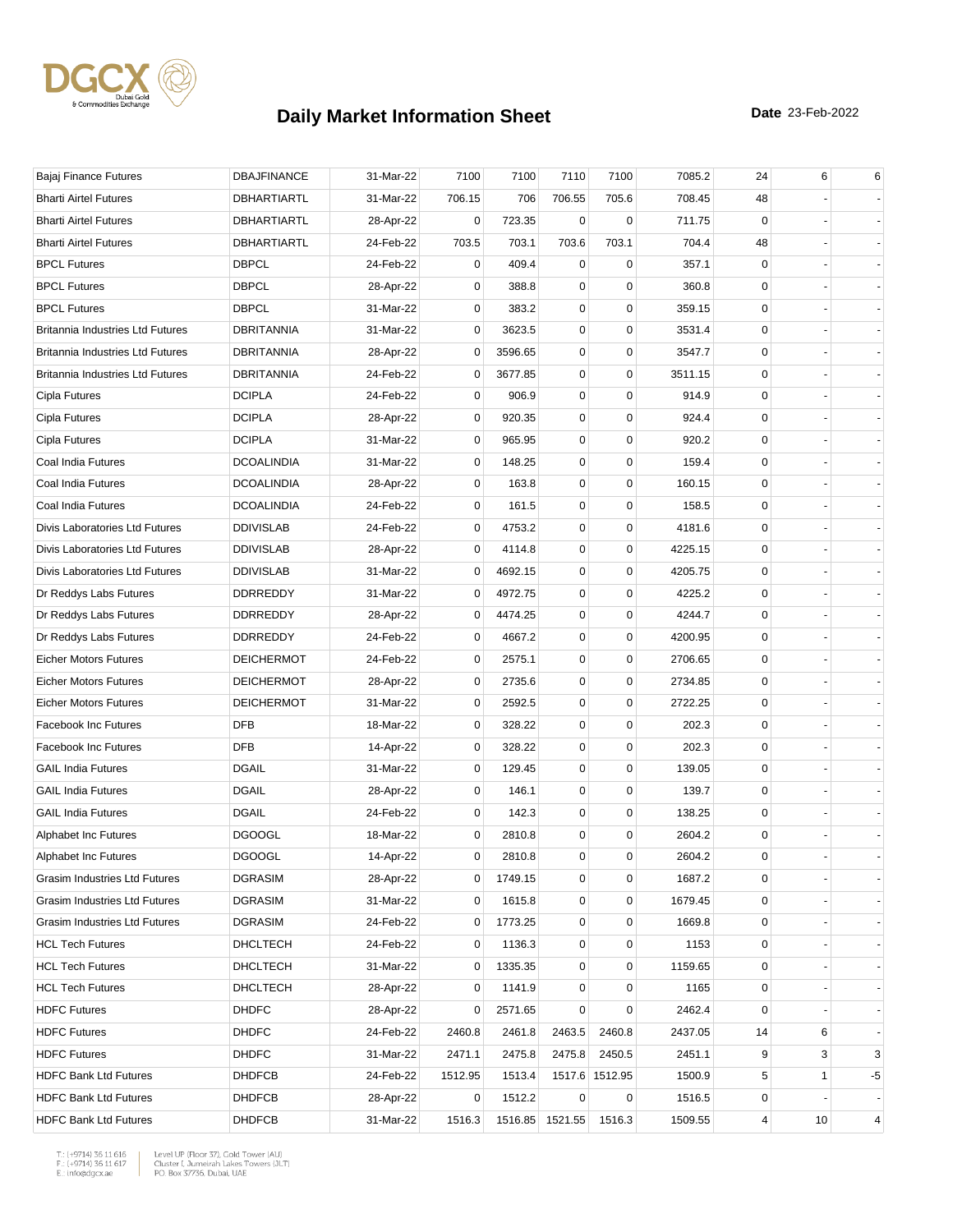

| Bajaj Finance Futures            | <b>DBAJFINANCE</b> | 31-Mar-22 | 7100        | 7100    | 7110            | 7100           | 7085.2  | 24          | 6  | 6              |
|----------------------------------|--------------------|-----------|-------------|---------|-----------------|----------------|---------|-------------|----|----------------|
| <b>Bharti Airtel Futures</b>     | DBHARTIARTL        | 31-Mar-22 | 706.15      | 706     | 706.55          | 705.6          | 708.45  | 48          |    |                |
| <b>Bharti Airtel Futures</b>     | DBHARTIARTL        | 28-Apr-22 | 0           | 723.35  | 0               | 0              | 711.75  | 0           |    |                |
| <b>Bharti Airtel Futures</b>     | <b>DBHARTIARTL</b> | 24-Feb-22 | 703.5       | 703.1   | 703.6           | 703.1          | 704.4   | 48          |    |                |
| <b>BPCL Futures</b>              | <b>DBPCL</b>       | 24-Feb-22 | 0           | 409.4   | $\mathbf 0$     | $\mathbf 0$    | 357.1   | $\mathbf 0$ |    |                |
| <b>BPCL Futures</b>              | <b>DBPCL</b>       | 28-Apr-22 | 0           | 388.8   | 0               | $\mathbf 0$    | 360.8   | 0           |    |                |
| <b>BPCL Futures</b>              | <b>DBPCL</b>       | 31-Mar-22 | 0           | 383.2   | 0               | $\mathbf 0$    | 359.15  | 0           |    |                |
| Britannia Industries Ltd Futures | DBRITANNIA         | 31-Mar-22 | 0           | 3623.5  | 0               | $\mathbf 0$    | 3531.4  | 0           |    |                |
| Britannia Industries Ltd Futures | DBRITANNIA         | 28-Apr-22 | 0           | 3596.65 | 0               | $\mathbf 0$    | 3547.7  | $\mathbf 0$ |    |                |
| Britannia Industries Ltd Futures | <b>DBRITANNIA</b>  | 24-Feb-22 | 0           | 3677.85 | 0               | $\mathbf 0$    | 3511.15 | 0           |    |                |
| Cipla Futures                    | <b>DCIPLA</b>      | 24-Feb-22 | 0           | 906.9   | 0               | $\mathbf 0$    | 914.9   | 0           |    |                |
| Cipla Futures                    | <b>DCIPLA</b>      | 28-Apr-22 | 0           | 920.35  | 0               | $\mathbf 0$    | 924.4   | $\mathbf 0$ |    |                |
| Cipla Futures                    | <b>DCIPLA</b>      | 31-Mar-22 | 0           | 965.95  | 0               | 0              | 920.2   | 0           |    |                |
| Coal India Futures               | <b>DCOALINDIA</b>  | 31-Mar-22 | 0           | 148.25  | 0               | $\mathbf 0$    | 159.4   | 0           |    |                |
| Coal India Futures               | <b>DCOALINDIA</b>  | 28-Apr-22 | 0           | 163.8   | 0               | $\pmb{0}$      | 160.15  | $\mathbf 0$ |    |                |
| Coal India Futures               | <b>DCOALINDIA</b>  | 24-Feb-22 | 0           | 161.5   | 0               | 0              | 158.5   | 0           |    |                |
| Divis Laboratories Ltd Futures   | <b>DDIVISLAB</b>   | 24-Feb-22 | 0           | 4753.2  | 0               | $\mathbf 0$    | 4181.6  | 0           |    |                |
| Divis Laboratories Ltd Futures   | <b>DDIVISLAB</b>   | 28-Apr-22 | 0           | 4114.8  | 0               | $\mathbf 0$    | 4225.15 | 0           |    |                |
| Divis Laboratories Ltd Futures   | <b>DDIVISLAB</b>   | 31-Mar-22 | 0           | 4692.15 | 0               | $\mathbf 0$    | 4205.75 | 0           |    |                |
| Dr Reddys Labs Futures           | <b>DDRREDDY</b>    | 31-Mar-22 | 0           | 4972.75 | 0               | $\mathbf 0$    | 4225.2  | 0           |    |                |
| Dr Reddys Labs Futures           | <b>DDRREDDY</b>    | 28-Apr-22 | 0           | 4474.25 | 0               | $\mathbf 0$    | 4244.7  | $\mathbf 0$ |    |                |
| Dr Reddys Labs Futures           | <b>DDRREDDY</b>    | 24-Feb-22 | 0           | 4667.2  | 0               | $\mathbf 0$    | 4200.95 | $\mathbf 0$ |    |                |
| <b>Eicher Motors Futures</b>     | <b>DEICHERMOT</b>  | 24-Feb-22 | 0           | 2575.1  | 0               | $\mathbf 0$    | 2706.65 | 0           |    |                |
| <b>Eicher Motors Futures</b>     | <b>DEICHERMOT</b>  | 28-Apr-22 | 0           | 2735.6  | 0               | $\mathbf 0$    | 2734.85 | 0           |    |                |
| <b>Eicher Motors Futures</b>     | <b>DEICHERMOT</b>  | 31-Mar-22 | 0           | 2592.5  | 0               | $\mathbf 0$    | 2722.25 | 0           |    |                |
| <b>Facebook Inc Futures</b>      | <b>DFB</b>         | 18-Mar-22 | 0           | 328.22  | 0               | $\mathbf 0$    | 202.3   | 0           |    |                |
| <b>Facebook Inc Futures</b>      | <b>DFB</b>         | 14-Apr-22 | 0           | 328.22  | 0               | $\mathbf 0$    | 202.3   | 0           |    |                |
| <b>GAIL India Futures</b>        | <b>DGAIL</b>       | 31-Mar-22 | 0           | 129.45  | 0               | $\mathbf 0$    | 139.05  | 0           |    |                |
| <b>GAIL India Futures</b>        | <b>DGAIL</b>       | 28-Apr-22 | 0           | 146.1   | 0               | $\mathbf 0$    | 139.7   | 0           |    |                |
| <b>GAIL India Futures</b>        | <b>DGAIL</b>       | 24-Feb-22 | 0           | 142.3   | 0               | 0              | 138.25  | 0           |    |                |
| Alphabet Inc Futures             | <b>DGOOGL</b>      | 18-Mar-22 | 0           | 2810.8  | 0               | $\mathbf 0$    | 2604.2  | 0           |    |                |
| Alphabet Inc Futures             | <b>DGOOGL</b>      | 14-Apr-22 | $\mathbf 0$ | 2810.8  | $\mathbf 0$     | $\mathbf 0$    | 2604.2  | $\mathbf 0$ |    |                |
| Grasim Industries Ltd Futures    | <b>DGRASIM</b>     | 28-Apr-22 | 0           | 1749.15 | 0               | 0              | 1687.2  | 0           |    |                |
| Grasim Industries Ltd Futures    | <b>DGRASIM</b>     | 31-Mar-22 | $\mathbf 0$ | 1615.8  | 0               | $\mathbf 0$    | 1679.45 | 0           |    |                |
| Grasim Industries Ltd Futures    | <b>DGRASIM</b>     | 24-Feb-22 | 0           | 1773.25 | 0               | $\pmb{0}$      | 1669.8  | 0           |    |                |
| <b>HCL Tech Futures</b>          | DHCLTECH           | 24-Feb-22 | 0           | 1136.3  | 0               | 0              | 1153    | 0           |    |                |
| <b>HCL Tech Futures</b>          | <b>DHCLTECH</b>    | 31-Mar-22 | 0           | 1335.35 | 0               | $\mathbf 0$    | 1159.65 | 0           |    |                |
| <b>HCL Tech Futures</b>          | DHCLTECH           | 28-Apr-22 | 0           | 1141.9  | 0               | 0              | 1165    | 0           |    |                |
| <b>HDFC Futures</b>              | <b>DHDFC</b>       | 28-Apr-22 | 0           | 2571.65 | 0               | 0              | 2462.4  | 0           |    |                |
| <b>HDFC Futures</b>              | <b>DHDFC</b>       | 24-Feb-22 | 2460.8      | 2461.8  | 2463.5          | 2460.8         | 2437.05 | 14          | 6  |                |
| <b>HDFC Futures</b>              | <b>DHDFC</b>       | 31-Mar-22 | 2471.1      | 2475.8  | 2475.8          | 2450.5         | 2451.1  | 9           | 3  | 3              |
| <b>HDFC Bank Ltd Futures</b>     | <b>DHDFCB</b>      | 24-Feb-22 | 1512.95     | 1513.4  |                 | 1517.6 1512.95 | 1500.9  | 5           | 1  | -5             |
| <b>HDFC Bank Ltd Futures</b>     | <b>DHDFCB</b>      | 28-Apr-22 | 0           | 1512.2  | 0               | 0              | 1516.5  | 0           |    |                |
| <b>HDFC Bank Ltd Futures</b>     | <b>DHDFCB</b>      | 31-Mar-22 | 1516.3      |         | 1516.85 1521.55 | 1516.3         | 1509.55 | 4           | 10 | $\overline{4}$ |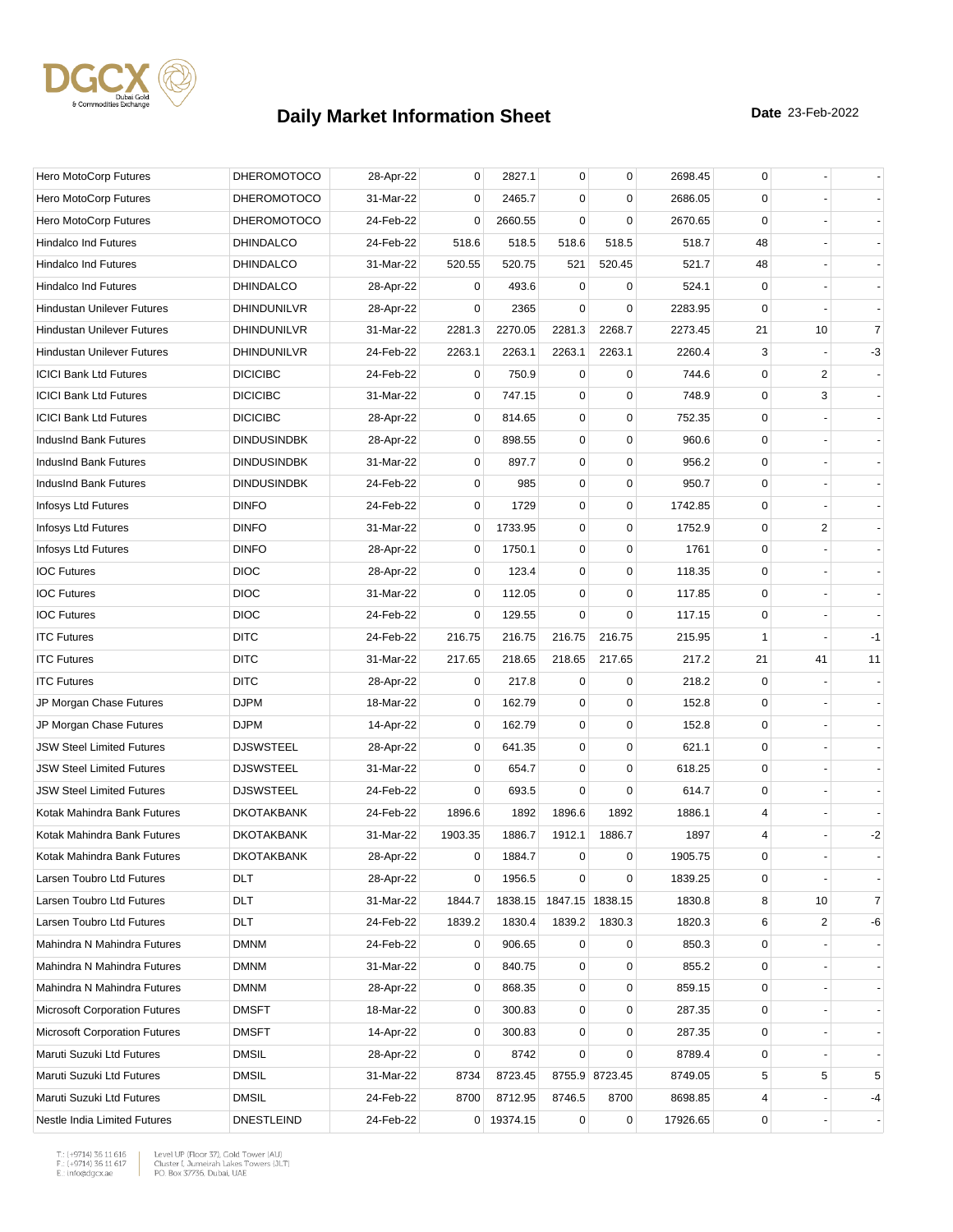

| Hero MotoCorp Futures                | <b>DHEROMOTOCO</b> | 28-Apr-22 | 0       | 2827.1     | 0                       | $\mathbf 0$    | 2698.45  | 0            |                |                |
|--------------------------------------|--------------------|-----------|---------|------------|-------------------------|----------------|----------|--------------|----------------|----------------|
| Hero MotoCorp Futures                | <b>DHEROMOTOCO</b> | 31-Mar-22 | 0       | 2465.7     | $\mathbf 0$             | 0              | 2686.05  | 0            |                |                |
| Hero MotoCorp Futures                | <b>DHEROMOTOCO</b> | 24-Feb-22 | 0       | 2660.55    | $\mathbf 0$             | $\mathbf 0$    | 2670.65  | $\mathbf 0$  |                |                |
| Hindalco Ind Futures                 | <b>DHINDALCO</b>   | 24-Feb-22 | 518.6   | 518.5      | 518.6                   | 518.5          | 518.7    | 48           |                |                |
| <b>Hindalco Ind Futures</b>          | <b>DHINDALCO</b>   | 31-Mar-22 | 520.55  | 520.75     | 521                     | 520.45         | 521.7    | 48           |                |                |
| <b>Hindalco Ind Futures</b>          | <b>DHINDALCO</b>   | 28-Apr-22 | 0       | 493.6      | 0                       | 0              | 524.1    | 0            |                |                |
| <b>Hindustan Unilever Futures</b>    | DHINDUNILVR        | 28-Apr-22 | 0       | 2365       | $\Omega$                | $\mathbf 0$    | 2283.95  | 0            |                |                |
| <b>Hindustan Unilever Futures</b>    | DHINDUNILVR        | 31-Mar-22 | 2281.3  | 2270.05    | 2281.3                  | 2268.7         | 2273.45  | 21           | 10             | $\overline{7}$ |
| <b>Hindustan Unilever Futures</b>    | DHINDUNILVR        | 24-Feb-22 | 2263.1  | 2263.1     | 2263.1                  | 2263.1         | 2260.4   | 3            |                | $-3$           |
| <b>ICICI Bank Ltd Futures</b>        | <b>DICICIBC</b>    | 24-Feb-22 | 0       | 750.9      | 0                       | 0              | 744.6    | 0            | 2              |                |
| <b>ICICI Bank Ltd Futures</b>        | <b>DICICIBC</b>    | 31-Mar-22 | 0       | 747.15     | 0                       | $\mathbf 0$    | 748.9    | 0            | 3              |                |
| <b>ICICI Bank Ltd Futures</b>        | <b>DICICIBC</b>    | 28-Apr-22 | 0       | 814.65     | 0                       | $\mathbf 0$    | 752.35   | $\mathbf 0$  |                |                |
| IndusInd Bank Futures                | <b>DINDUSINDBK</b> | 28-Apr-22 | 0       | 898.55     | 0                       | $\mathbf 0$    | 960.6    | 0            |                |                |
| IndusInd Bank Futures                | <b>DINDUSINDBK</b> | 31-Mar-22 | 0       | 897.7      | 0                       | $\mathbf 0$    | 956.2    | 0            |                |                |
| IndusInd Bank Futures                | <b>DINDUSINDBK</b> | 24-Feb-22 | 0       | 985        | 0                       | $\mathbf 0$    | 950.7    | 0            |                |                |
| Infosys Ltd Futures                  | <b>DINFO</b>       | 24-Feb-22 | 0       | 1729       | 0                       | 0              | 1742.85  | 0            |                |                |
| Infosys Ltd Futures                  | <b>DINFO</b>       | 31-Mar-22 | 0       | 1733.95    | 0                       | $\mathbf 0$    | 1752.9   | 0            | 2              |                |
| Infosys Ltd Futures                  | <b>DINFO</b>       | 28-Apr-22 | 0       | 1750.1     | 0                       | $\pmb{0}$      | 1761     | 0            |                |                |
| <b>IOC Futures</b>                   | <b>DIOC</b>        | 28-Apr-22 | 0       | 123.4      | 0                       | 0              | 118.35   | 0            |                |                |
| <b>IOC Futures</b>                   | <b>DIOC</b>        | 31-Mar-22 | 0       | 112.05     | $\mathbf 0$             | $\mathbf 0$    | 117.85   | 0            |                |                |
| <b>IOC Futures</b>                   | <b>DIOC</b>        | 24-Feb-22 | 0       | 129.55     | $\mathbf 0$             | $\mathbf 0$    | 117.15   | 0            |                |                |
| <b>ITC Futures</b>                   | <b>DITC</b>        | 24-Feb-22 | 216.75  | 216.75     | 216.75                  | 216.75         | 215.95   | $\mathbf{1}$ |                | -1             |
| <b>ITC Futures</b>                   | <b>DITC</b>        | 31-Mar-22 | 217.65  | 218.65     | 218.65                  | 217.65         | 217.2    | 21           | 41             | 11             |
| <b>ITC Futures</b>                   | <b>DITC</b>        | 28-Apr-22 | 0       | 217.8      | 0                       | 0              | 218.2    | 0            |                |                |
| JP Morgan Chase Futures              | <b>DJPM</b>        | 18-Mar-22 | 0       | 162.79     | $\mathbf 0$             | 0              | 152.8    | $\mathbf 0$  |                |                |
| JP Morgan Chase Futures              | <b>DJPM</b>        | 14-Apr-22 | 0       | 162.79     | 0                       | $\mathbf 0$    | 152.8    | $\mathbf 0$  |                |                |
| <b>JSW Steel Limited Futures</b>     | <b>DJSWSTEEL</b>   | 28-Apr-22 | 0       | 641.35     | 0                       | $\mathbf 0$    | 621.1    | 0            |                |                |
| <b>JSW Steel Limited Futures</b>     | <b>DJSWSTEEL</b>   | 31-Mar-22 | 0       | 654.7      | 0                       | $\mathbf 0$    | 618.25   | 0            |                |                |
| <b>JSW Steel Limited Futures</b>     | <b>DJSWSTEEL</b>   | 24-Feb-22 | 0       | 693.5      | $\mathbf 0$             | $\mathbf 0$    | 614.7    | 0            |                |                |
| Kotak Mahindra Bank Futures          | <b>DKOTAKBANK</b>  | 24-Feb-22 | 1896.6  | 1892       | 1896.6                  | 1892           | 1886.1   | 4            |                |                |
| Kotak Mahindra Bank Futures          | <b>DKOTAKBANK</b>  | 31-Mar-22 | 1903.35 | 1886.7     | 1912.1                  | 1886.7         | 1897     | 4            |                | $-2$           |
| Kotak Mahindra Bank Futures          | <b>DKOTAKBANK</b>  | 28-Apr-22 | 0       | 1884.7     | $\mathbf 0$             | 0              | 1905.75  | $\mathbf 0$  |                |                |
| Larsen Toubro Ltd Futures            | DLT                | 28-Apr-22 | 0       | 1956.5     | 0                       | $\pmb{0}$      | 1839.25  | 0            |                |                |
| Larsen Toubro Ltd Futures            | DLT                | 31-Mar-22 | 1844.7  |            | 1838.15 1847.15 1838.15 |                | 1830.8   | 8            | 10             | $\overline{7}$ |
| Larsen Toubro Ltd Futures            | DLT                | 24-Feb-22 | 1839.2  | 1830.4     | 1839.2                  | 1830.3         | 1820.3   | 6            | $\overline{c}$ | -6             |
| Mahindra N Mahindra Futures          | <b>DMNM</b>        | 24-Feb-22 | 0       | 906.65     | 0                       | 0              | 850.3    | 0            |                |                |
| Mahindra N Mahindra Futures          | <b>DMNM</b>        | 31-Mar-22 | 0       | 840.75     | 0                       | $\mathbf 0$    | 855.2    | 0            |                |                |
| Mahindra N Mahindra Futures          | <b>DMNM</b>        | 28-Apr-22 | 0       | 868.35     | 0                       | $\pmb{0}$      | 859.15   | 0            |                |                |
| <b>Microsoft Corporation Futures</b> | <b>DMSFT</b>       | 18-Mar-22 | 0       | 300.83     | 0                       | 0              | 287.35   | 0            |                |                |
| <b>Microsoft Corporation Futures</b> | <b>DMSFT</b>       | 14-Apr-22 | 0       | 300.83     | 0                       | $\mathbf 0$    | 287.35   | 0            |                |                |
| Maruti Suzuki Ltd Futures            | <b>DMSIL</b>       | 28-Apr-22 | 0       | 8742       | 0                       | $\mathbf 0$    | 8789.4   | 0            |                |                |
| Maruti Suzuki Ltd Futures            | <b>DMSIL</b>       | 31-Mar-22 | 8734    | 8723.45    |                         | 8755.9 8723.45 | 8749.05  | 5            | 5              | 5              |
| Maruti Suzuki Ltd Futures            | <b>DMSIL</b>       | 24-Feb-22 | 8700    | 8712.95    | 8746.5                  | 8700           | 8698.85  | 4            |                | -4             |
| Nestle India Limited Futures         | <b>DNESTLEIND</b>  | 24-Feb-22 |         | 0 19374.15 | $\mathbf 0$             | $\pmb{0}$      | 17926.65 | 0            |                |                |

 $\begin{tabular}{|l|l|l|l|} \hline $\mathsf{T}$: $(+9714)$ 36 11 616 & \textit{Level UP (Flow 37)},\textit{Gold Tower (AU)}$ \\ \hline \multicolumn{3}{|l|}{\mathsf{F}}:\\ $(+9714)$ 36 11 617 & \textit{Cluster I, Jumerirah Lakes Tower (JUT)}$ \\ \multicolumn{3}{|l|}{\mathsf{E}}:\\ $\text{infogdgcxae}$ & \multicolumn{3}{|l|}{\mathsf{PO}}. \textit{Box 37736, Dubai, UAE} \hline \end{tabular}$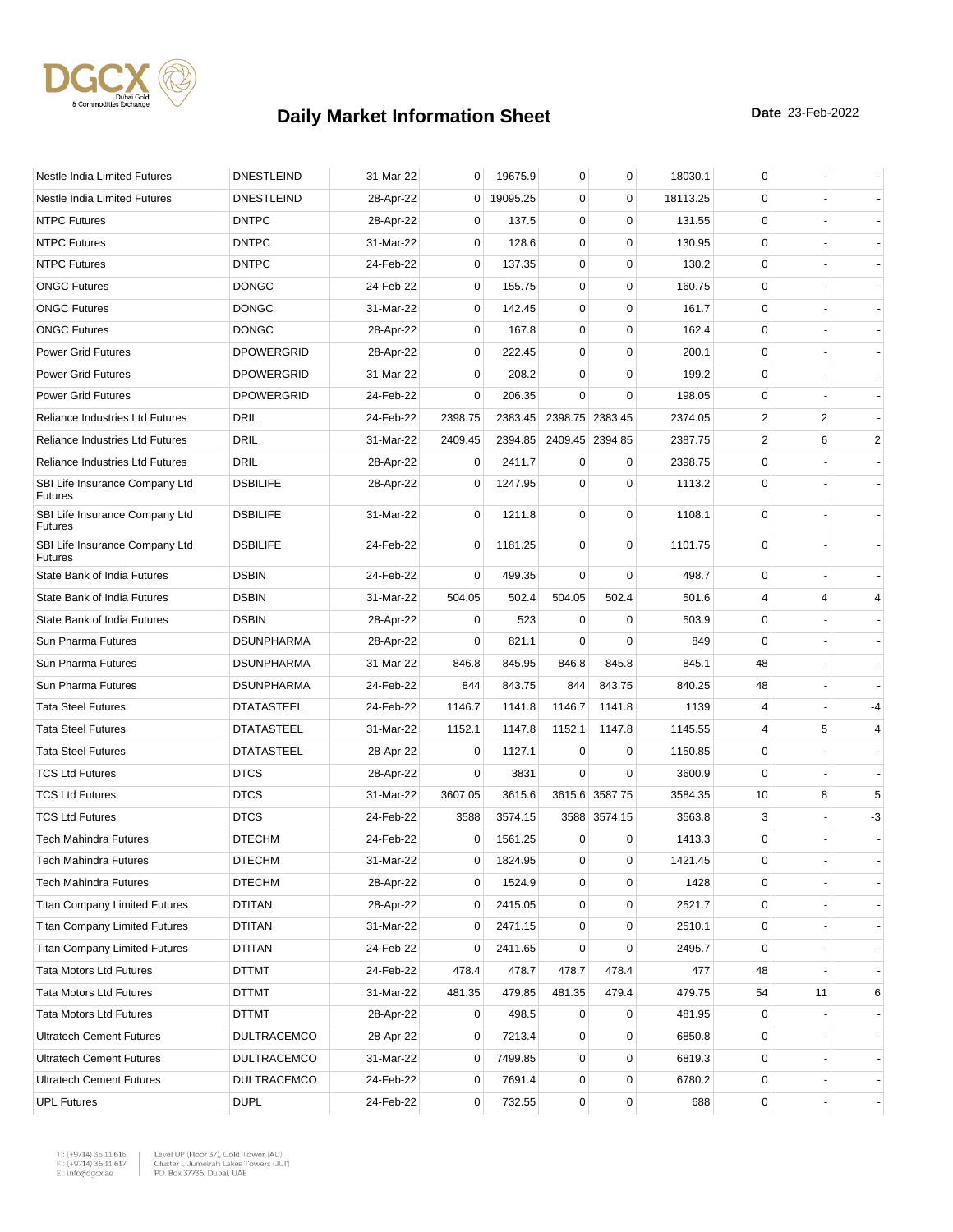

| Nestle India Limited Futures                     | <b>DNESTLEIND</b>  | 31-Mar-22 | 0              | 19675.9  | 0           | 0               | 18030.1  | 0           |    |                          |
|--------------------------------------------------|--------------------|-----------|----------------|----------|-------------|-----------------|----------|-------------|----|--------------------------|
| Nestle India Limited Futures                     | <b>DNESTLEIND</b>  | 28-Apr-22 | 0              | 19095.25 | $\mathbf 0$ | $\mathbf 0$     | 18113.25 | 0           |    |                          |
| <b>NTPC Futures</b>                              | <b>DNTPC</b>       | 28-Apr-22 | 0              | 137.5    | 0           | $\mathbf 0$     | 131.55   | 0           |    |                          |
| <b>NTPC Futures</b>                              | <b>DNTPC</b>       | 31-Mar-22 | 0              | 128.6    | 0           | $\mathbf 0$     | 130.95   | $\mathbf 0$ |    |                          |
| <b>NTPC Futures</b>                              | <b>DNTPC</b>       | 24-Feb-22 | 0              | 137.35   | $\mathbf 0$ | $\mathbf 0$     | 130.2    | $\mathbf 0$ |    |                          |
| <b>ONGC Futures</b>                              | <b>DONGC</b>       | 24-Feb-22 | 0              | 155.75   | 0           | $\mathbf 0$     | 160.75   | 0           |    |                          |
| <b>ONGC Futures</b>                              | <b>DONGC</b>       | 31-Mar-22 | 0              | 142.45   | 0           | $\mathbf 0$     | 161.7    | 0           |    |                          |
| <b>ONGC Futures</b>                              | <b>DONGC</b>       | 28-Apr-22 | 0              | 167.8    | 0           | 0               | 162.4    | 0           |    |                          |
| <b>Power Grid Futures</b>                        | <b>DPOWERGRID</b>  | 28-Apr-22 | 0              | 222.45   | 0           | $\mathbf 0$     | 200.1    | $\mathbf 0$ |    |                          |
| <b>Power Grid Futures</b>                        | <b>DPOWERGRID</b>  | 31-Mar-22 | 0              | 208.2    | 0           | $\mathbf 0$     | 199.2    | $\mathbf 0$ |    |                          |
| <b>Power Grid Futures</b>                        | <b>DPOWERGRID</b>  | 24-Feb-22 | 0              | 206.35   | $\Omega$    | 0               | 198.05   | 0           |    |                          |
| <b>Reliance Industries Ltd Futures</b>           | DRIL               | 24-Feb-22 | 2398.75        | 2383.45  |             | 2398.75 2383.45 | 2374.05  | 2           | 2  |                          |
| <b>Reliance Industries Ltd Futures</b>           | <b>DRIL</b>        | 31-Mar-22 | 2409.45        | 2394.85  |             | 2409.45 2394.85 | 2387.75  | 2           | 6  | 2                        |
| <b>Reliance Industries Ltd Futures</b>           | <b>DRIL</b>        | 28-Apr-22 | 0              | 2411.7   | $\mathbf 0$ | 0               | 2398.75  | 0           |    |                          |
| SBI Life Insurance Company Ltd<br><b>Futures</b> | <b>DSBILIFE</b>    | 28-Apr-22 | 0              | 1247.95  | $\mathbf 0$ | $\mathbf 0$     | 1113.2   | $\mathbf 0$ |    |                          |
| SBI Life Insurance Company Ltd<br><b>Futures</b> | <b>DSBILIFE</b>    | 31-Mar-22 | 0              | 1211.8   | $\mathbf 0$ | $\mathbf 0$     | 1108.1   | $\mathbf 0$ |    |                          |
| SBI Life Insurance Company Ltd<br><b>Futures</b> | <b>DSBILIFE</b>    | 24-Feb-22 | 0              | 1181.25  | $\mathbf 0$ | $\mathbf 0$     | 1101.75  | $\mathbf 0$ |    |                          |
| State Bank of India Futures                      | <b>DSBIN</b>       | 24-Feb-22 | 0              | 499.35   | 0           | $\mathbf 0$     | 498.7    | 0           |    |                          |
| State Bank of India Futures                      | <b>DSBIN</b>       | 31-Mar-22 | 504.05         | 502.4    | 504.05      | 502.4           | 501.6    | 4           | 4  | $\overline{4}$           |
| State Bank of India Futures                      | <b>DSBIN</b>       | 28-Apr-22 | 0              | 523      | $\mathbf 0$ | $\mathbf 0$     | 503.9    | 0           |    |                          |
| Sun Pharma Futures                               | <b>DSUNPHARMA</b>  | 28-Apr-22 | 0              | 821.1    | $\mathbf 0$ | $\mathbf 0$     | 849      | 0           |    |                          |
| Sun Pharma Futures                               | <b>DSUNPHARMA</b>  | 31-Mar-22 | 846.8          | 845.95   | 846.8       | 845.8           | 845.1    | 48          |    |                          |
| Sun Pharma Futures                               | <b>DSUNPHARMA</b>  | 24-Feb-22 | 844            | 843.75   | 844         | 843.75          | 840.25   | 48          |    |                          |
| <b>Tata Steel Futures</b>                        | <b>DTATASTEEL</b>  | 24-Feb-22 | 1146.7         | 1141.8   | 1146.7      | 1141.8          | 1139     | 4           |    | $-4$                     |
| <b>Tata Steel Futures</b>                        | <b>DTATASTEEL</b>  | 31-Mar-22 | 1152.1         | 1147.8   | 1152.1      | 1147.8          | 1145.55  | 4           | 5  | 4                        |
| <b>Tata Steel Futures</b>                        | <b>DTATASTEEL</b>  | 28-Apr-22 | 0              | 1127.1   | 0           | 0               | 1150.85  | 0           |    |                          |
| <b>TCS Ltd Futures</b>                           | <b>DTCS</b>        | 28-Apr-22 | 0              | 3831     | $\Omega$    | $\mathbf 0$     | 3600.9   | $\mathbf 0$ |    |                          |
| <b>TCS Ltd Futures</b>                           | <b>DTCS</b>        | 31-Mar-22 | 3607.05        | 3615.6   |             | 3615.6 3587.75  | 3584.35  | 10          | 8  | 5                        |
| <b>TCS Ltd Futures</b>                           | <b>DTCS</b>        | 24-Feb-22 | 3588           | 3574.15  |             | 3588 3574.15    | 3563.8   | 3           |    | $-3$                     |
| <b>Tech Mahindra Futures</b>                     | <b>DTECHM</b>      | 24-Feb-22 | 0              | 1561.25  | 0           | 0               | 1413.3   | 0           |    |                          |
| Tech Mahindra Futures                            | <b>DTECHM</b>      | 31-Mar-22 | 0              | 1824.95  | 0           | 0               | 1421.45  | $\Omega$    |    |                          |
| <b>Tech Mahindra Futures</b>                     | <b>DTECHM</b>      | 28-Apr-22 | 0              | 1524.9   | 0           | $\mathbf 0$     | 1428     | 0           |    |                          |
| <b>Titan Company Limited Futures</b>             | DTITAN             | 28-Apr-22 | 0              | 2415.05  | 0           | $\pmb{0}$       | 2521.7   | 0           |    |                          |
| <b>Titan Company Limited Futures</b>             | <b>DTITAN</b>      | 31-Mar-22 | 0              | 2471.15  | 0           | 0               | 2510.1   | 0           |    |                          |
| <b>Titan Company Limited Futures</b>             | <b>DTITAN</b>      | 24-Feb-22 | 0              | 2411.65  | 0           | $\mathbf 0$     | 2495.7   | $\mathbf 0$ |    |                          |
| <b>Tata Motors Ltd Futures</b>                   | DTTMT              | 24-Feb-22 | 478.4          | 478.7    | 478.7       | 478.4           | 477      | 48          |    |                          |
| <b>Tata Motors Ltd Futures</b>                   | <b>DTTMT</b>       | 31-Mar-22 | 481.35         | 479.85   | 481.35      | 479.4           | 479.75   | 54          | 11 | 6                        |
| <b>Tata Motors Ltd Futures</b>                   | DTTMT              | 28-Apr-22 | 0              | 498.5    | 0           | 0               | 481.95   | 0           |    | $\overline{\phantom{a}}$ |
| <b>Ultratech Cement Futures</b>                  | <b>DULTRACEMCO</b> | 28-Apr-22 | 0              | 7213.4   | $\mathbf 0$ | $\mathbf 0$     | 6850.8   | 0           |    |                          |
| <b>Ultratech Cement Futures</b>                  | <b>DULTRACEMCO</b> | 31-Mar-22 | 0              | 7499.85  | 0           | $\mathbf 0$     | 6819.3   | 0           |    |                          |
| <b>Ultratech Cement Futures</b>                  | <b>DULTRACEMCO</b> | 24-Feb-22 | $\overline{0}$ | 7691.4   | 0           | $\pmb{0}$       | 6780.2   | 0           |    |                          |
| <b>UPL Futures</b>                               | <b>DUPL</b>        | 24-Feb-22 | $\overline{0}$ | 732.55   | 0           | $\pmb{0}$       | 688      | 0           |    |                          |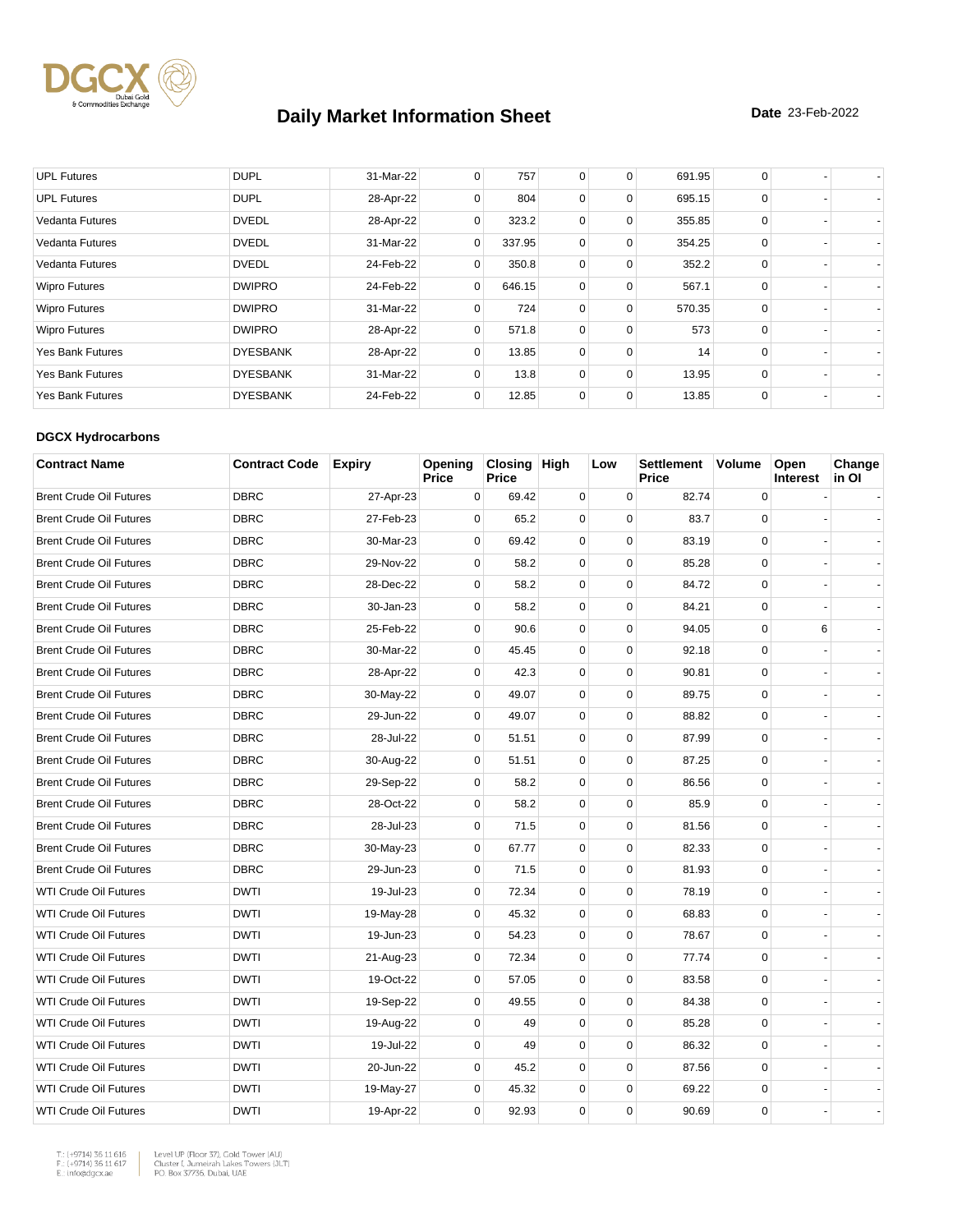

| <b>UPL Futures</b>      | <b>DUPL</b>     | 31-Mar-22 | 0            | 757    | $\mathbf 0$    | 0        | 691.95 | 0        |  |
|-------------------------|-----------------|-----------|--------------|--------|----------------|----------|--------|----------|--|
| <b>UPL Futures</b>      | <b>DUPL</b>     | 28-Apr-22 | 0            | 804    | $\mathbf 0$    | 0        | 695.15 | 0        |  |
| <b>Vedanta Futures</b>  | <b>DVEDL</b>    | 28-Apr-22 | 0            | 323.2  | $\mathbf 0$    | 0        | 355.85 | 0        |  |
| <b>Vedanta Futures</b>  | <b>DVEDL</b>    | 31-Mar-22 | $\mathbf{0}$ | 337.95 | 0              | 0        | 354.25 | 0        |  |
| Vedanta Futures         | <b>DVEDL</b>    | 24-Feb-22 | $\Omega$     | 350.8  | $\mathbf 0$    | $\Omega$ | 352.2  | $\Omega$ |  |
| <b>Wipro Futures</b>    | <b>DWIPRO</b>   | 24-Feb-22 | $\mathbf{0}$ | 646.15 | $\overline{0}$ | 0        | 567.1  | 0        |  |
| <b>Wipro Futures</b>    | <b>DWIPRO</b>   | 31-Mar-22 | $\Omega$     | 724    | $\mathbf 0$    | $\Omega$ | 570.35 | $\Omega$ |  |
| <b>Wipro Futures</b>    | <b>DWIPRO</b>   | 28-Apr-22 | 0            | 571.8  | $\mathbf 0$    | $\Omega$ | 573    | $\Omega$ |  |
| <b>Yes Bank Futures</b> | <b>DYESBANK</b> | 28-Apr-22 | 0            | 13.85  | $\mathbf 0$    | 0        | 14     | $\Omega$ |  |
| <b>Yes Bank Futures</b> | <b>DYESBANK</b> | 31-Mar-22 | 0            | 13.8   | $\overline{0}$ | 0        | 13.95  | 0        |  |
| <b>Yes Bank Futures</b> | <b>DYESBANK</b> | 24-Feb-22 | 0            | 12.85  | $\mathbf 0$    | 0        | 13.85  | $\Omega$ |  |

#### **DGCX Hydrocarbons**

| <b>Contract Name</b>           | <b>Contract Code</b> | <b>Expiry</b> | Opening<br>Price | Closing High<br><b>Price</b> |             | Low         | <b>Settlement</b><br><b>Price</b> | Volume      | Open<br><b>Interest</b> | Change<br>in Ol |
|--------------------------------|----------------------|---------------|------------------|------------------------------|-------------|-------------|-----------------------------------|-------------|-------------------------|-----------------|
| <b>Brent Crude Oil Futures</b> | <b>DBRC</b>          | 27-Apr-23     | 0                | 69.42                        | $\mathbf 0$ | $\mathbf 0$ | 82.74                             | $\mathbf 0$ |                         |                 |
| <b>Brent Crude Oil Futures</b> | <b>DBRC</b>          | 27-Feb-23     | 0                | 65.2                         | 0           | 0           | 83.7                              | $\mathbf 0$ |                         |                 |
| <b>Brent Crude Oil Futures</b> | <b>DBRC</b>          | 30-Mar-23     | $\mathbf 0$      | 69.42                        | $\mathbf 0$ | $\mathbf 0$ | 83.19                             | $\mathbf 0$ |                         |                 |
| <b>Brent Crude Oil Futures</b> | <b>DBRC</b>          | 29-Nov-22     | $\mathbf 0$      | 58.2                         | 0           | $\pmb{0}$   | 85.28                             | 0           |                         |                 |
| <b>Brent Crude Oil Futures</b> | <b>DBRC</b>          | 28-Dec-22     | $\Omega$         | 58.2                         | $\mathbf 0$ | $\Omega$    | 84.72                             | $\Omega$    |                         |                 |
| <b>Brent Crude Oil Futures</b> | <b>DBRC</b>          | 30-Jan-23     | 0                | 58.2                         | 0           | $\mathbf 0$ | 84.21                             | $\mathbf 0$ |                         |                 |
| <b>Brent Crude Oil Futures</b> | <b>DBRC</b>          | 25-Feb-22     | $\mathbf 0$      | 90.6                         | $\mathbf 0$ | 0           | 94.05                             | 0           | 6                       |                 |
| <b>Brent Crude Oil Futures</b> | <b>DBRC</b>          | 30-Mar-22     | 0                | 45.45                        | 0           | 0           | 92.18                             | $\pmb{0}$   |                         |                 |
| <b>Brent Crude Oil Futures</b> | <b>DBRC</b>          | 28-Apr-22     | $\mathbf 0$      | 42.3                         | 0           | $\mathbf 0$ | 90.81                             | $\mathbf 0$ |                         |                 |
| <b>Brent Crude Oil Futures</b> | <b>DBRC</b>          | 30-May-22     | 0                | 49.07                        | 0           | 0           | 89.75                             | $\mathbf 0$ |                         |                 |
| <b>Brent Crude Oil Futures</b> | <b>DBRC</b>          | 29-Jun-22     | $\Omega$         | 49.07                        | $\mathbf 0$ | $\mathbf 0$ | 88.82                             | $\mathbf 0$ |                         |                 |
| <b>Brent Crude Oil Futures</b> | <b>DBRC</b>          | 28-Jul-22     | 0                | 51.51                        | 0           | $\mathbf 0$ | 87.99                             | $\mathbf 0$ |                         |                 |
| <b>Brent Crude Oil Futures</b> | <b>DBRC</b>          | 30-Aug-22     | $\mathbf 0$      | 51.51                        | $\mathbf 0$ | $\mathbf 0$ | 87.25                             | $\mathbf 0$ |                         |                 |
| <b>Brent Crude Oil Futures</b> | <b>DBRC</b>          | 29-Sep-22     | $\mathbf 0$      | 58.2                         | 0           | $\mathbf 0$ | 86.56                             | $\mathbf 0$ |                         |                 |
| <b>Brent Crude Oil Futures</b> | <b>DBRC</b>          | 28-Oct-22     | $\Omega$         | 58.2                         | $\mathbf 0$ | $\mathbf 0$ | 85.9                              | $\mathbf 0$ |                         |                 |
| <b>Brent Crude Oil Futures</b> | <b>DBRC</b>          | 28-Jul-23     | $\mathbf 0$      | 71.5                         | 0           | 0           | 81.56                             | $\mathbf 0$ |                         |                 |
| <b>Brent Crude Oil Futures</b> | <b>DBRC</b>          | 30-May-23     | $\mathbf 0$      | 67.77                        | 0           | $\mathbf 0$ | 82.33                             | $\mathbf 0$ |                         |                 |
| <b>Brent Crude Oil Futures</b> | <b>DBRC</b>          | 29-Jun-23     | 0                | 71.5                         | 0           | $\mathbf 0$ | 81.93                             | $\mathbf 0$ |                         |                 |
| <b>WTI Crude Oil Futures</b>   | <b>DWTI</b>          | 19-Jul-23     | $\Omega$         | 72.34                        | 0           | $\mathbf 0$ | 78.19                             | $\mathbf 0$ |                         |                 |
| <b>WTI Crude Oil Futures</b>   | <b>DWTI</b>          | 19-May-28     | 0                | 45.32                        | 0           | $\mathbf 0$ | 68.83                             | $\mathbf 0$ |                         |                 |
| WTI Crude Oil Futures          | <b>DWTI</b>          | 19-Jun-23     | $\mathbf 0$      | 54.23                        | $\mathbf 0$ | 0           | 78.67                             | $\mathbf 0$ |                         |                 |
| <b>WTI Crude Oil Futures</b>   | <b>DWTI</b>          | 21-Aug-23     | $\mathbf 0$      | 72.34                        | 0           | $\mathbf 0$ | 77.74                             | $\mathbf 0$ |                         |                 |
| <b>WTI Crude Oil Futures</b>   | <b>DWTI</b>          | 19-Oct-22     | $\mathbf 0$      | 57.05                        | $\mathbf 0$ | $\mathbf 0$ | 83.58                             | $\mathbf 0$ |                         |                 |
| <b>WTI Crude Oil Futures</b>   | <b>DWTI</b>          | 19-Sep-22     | 0                | 49.55                        | 0           | $\mathbf 0$ | 84.38                             | $\mathbf 0$ |                         |                 |
| <b>WTI Crude Oil Futures</b>   | <b>DWTI</b>          | 19-Aug-22     | 0                | 49                           | $\mathbf 0$ | 0           | 85.28                             | 0           |                         |                 |
| <b>WTI Crude Oil Futures</b>   | <b>DWTI</b>          | 19-Jul-22     | 0                | 49                           | 0           | $\pmb{0}$   | 86.32                             | $\mathsf 0$ |                         |                 |
| <b>WTI Crude Oil Futures</b>   | <b>DWTI</b>          | 20-Jun-22     | $\Omega$         | 45.2                         | $\mathbf 0$ | $\mathbf 0$ | 87.56                             | $\mathbf 0$ |                         |                 |
| <b>WTI Crude Oil Futures</b>   | <b>DWTI</b>          | 19-May-27     | 0                | 45.32                        | 0           | 0           | 69.22                             | $\mathbf 0$ |                         |                 |
| <b>WTI Crude Oil Futures</b>   | <b>DWTI</b>          | 19-Apr-22     | $\Omega$         | 92.93                        | $\mathbf 0$ | $\mathbf 0$ | 90.69                             | $\mathbf 0$ |                         |                 |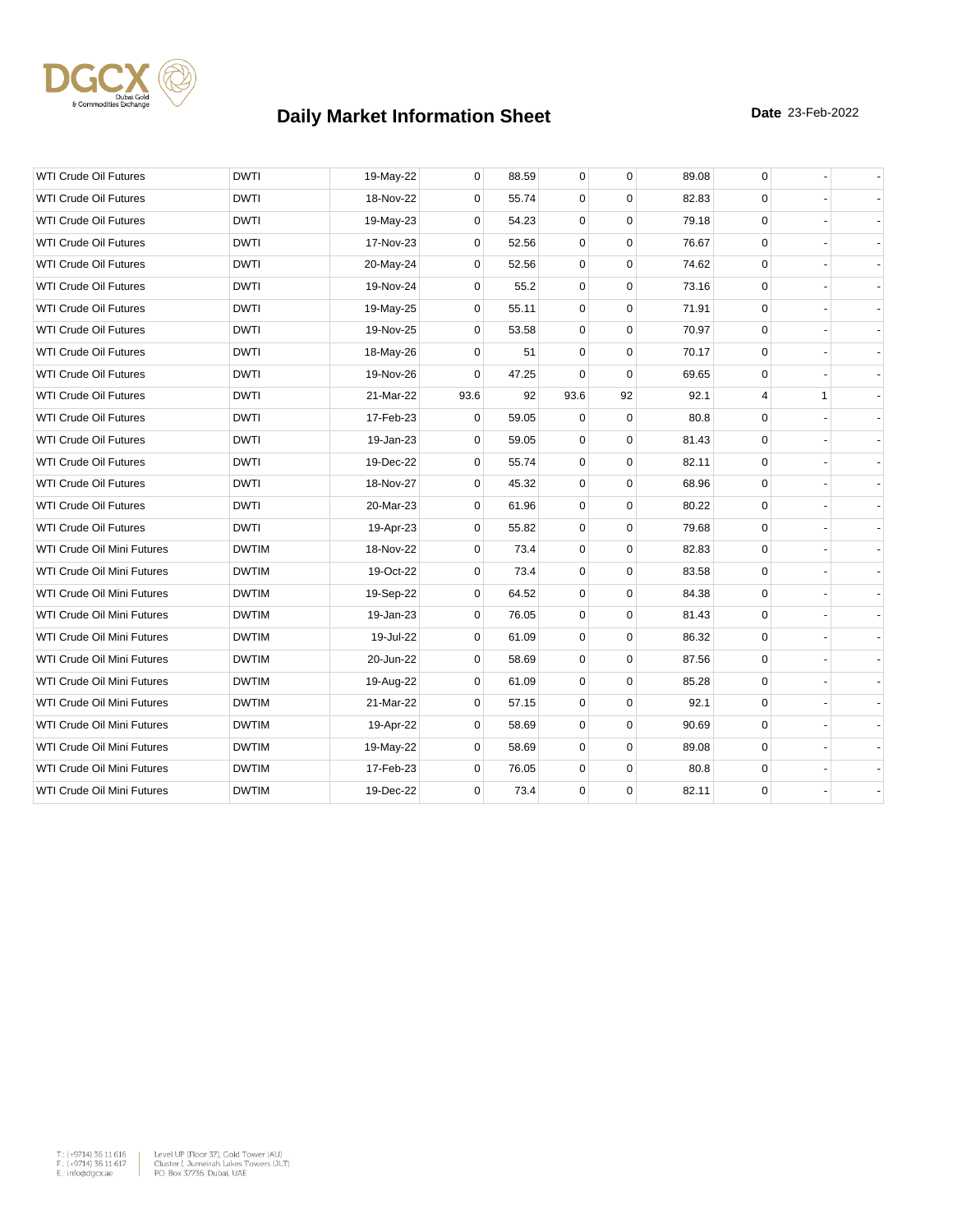

| <b>WTI Crude Oil Futures</b>      | <b>DWTI</b>  | 19-May-22 | $\overline{0}$ | 88.59 | 0           | $\mathbf 0$ | 89.08 | 0           |   |  |
|-----------------------------------|--------------|-----------|----------------|-------|-------------|-------------|-------|-------------|---|--|
| <b>WTI Crude Oil Futures</b>      | <b>DWTI</b>  | 18-Nov-22 | $\Omega$       | 55.74 | $\mathbf 0$ | $\Omega$    | 82.83 | $\mathbf 0$ |   |  |
| <b>WTI Crude Oil Futures</b>      | <b>DWTI</b>  | 19-May-23 | 0              | 54.23 | $\mathbf 0$ | $\mathbf 0$ | 79.18 | $\mathbf 0$ |   |  |
| <b>WTI Crude Oil Futures</b>      | <b>DWTI</b>  | 17-Nov-23 | $\overline{0}$ | 52.56 | $\mathbf 0$ | $\mathbf 0$ | 76.67 | $\mathbf 0$ |   |  |
| <b>WTI Crude Oil Futures</b>      | <b>DWTI</b>  | 20-May-24 | 0              | 52.56 | $\mathbf 0$ | $\Omega$    | 74.62 | $\mathbf 0$ |   |  |
| <b>WTI Crude Oil Futures</b>      | <b>DWTI</b>  | 19-Nov-24 | 0              | 55.2  | $\mathbf 0$ | $\mathbf 0$ | 73.16 | $\mathbf 0$ |   |  |
| <b>WTI Crude Oil Futures</b>      | <b>DWTI</b>  | 19-May-25 | 0              | 55.11 | $\mathbf 0$ | $\mathbf 0$ | 71.91 | $\mathbf 0$ |   |  |
| <b>WTI Crude Oil Futures</b>      | <b>DWTI</b>  | 19-Nov-25 | $\Omega$       | 53.58 | $\mathbf 0$ | $\mathbf 0$ | 70.97 | $\mathbf 0$ |   |  |
| <b>WTI Crude Oil Futures</b>      | <b>DWTI</b>  | 18-May-26 | $\overline{0}$ | 51    | 0           | $\mathbf 0$ | 70.17 | 0           |   |  |
| <b>WTI Crude Oil Futures</b>      | <b>DWTI</b>  | 19-Nov-26 | 0              | 47.25 | $\mathbf 0$ | $\Omega$    | 69.65 | $\mathbf 0$ |   |  |
| <b>WTI Crude Oil Futures</b>      | <b>DWTI</b>  | 21-Mar-22 | 93.6           | 92    | 93.6        | 92          | 92.1  | 4           | 1 |  |
| <b>WTI Crude Oil Futures</b>      | <b>DWTI</b>  | 17-Feb-23 | 0              | 59.05 | 0           | $\mathbf 0$ | 80.8  | $\mathbf 0$ |   |  |
| <b>WTI Crude Oil Futures</b>      | <b>DWTI</b>  | 19-Jan-23 | 0              | 59.05 | $\mathbf 0$ | $\mathbf 0$ | 81.43 | $\mathbf 0$ |   |  |
| <b>WTI Crude Oil Futures</b>      | <b>DWTI</b>  | 19-Dec-22 | $\Omega$       | 55.74 | $\mathbf 0$ | $\Omega$    | 82.11 | $\mathbf 0$ |   |  |
| <b>WTI Crude Oil Futures</b>      | <b>DWTI</b>  | 18-Nov-27 | 0              | 45.32 | 0           | $\mathbf 0$ | 68.96 | 0           |   |  |
| <b>WTI Crude Oil Futures</b>      | <b>DWTI</b>  | 20-Mar-23 | $\overline{0}$ | 61.96 | 0           | $\mathbf 0$ | 80.22 | 0           |   |  |
| <b>WTI Crude Oil Futures</b>      | <b>DWTI</b>  | 19-Apr-23 | 0              | 55.82 | $\mathbf 0$ | $\mathbf 0$ | 79.68 | $\mathbf 0$ |   |  |
| WTI Crude Oil Mini Futures        | <b>DWTIM</b> | 18-Nov-22 | 0              | 73.4  | 0           | $\mathbf 0$ | 82.83 | 0           |   |  |
| WTI Crude Oil Mini Futures        | <b>DWTIM</b> | 19-Oct-22 | $\Omega$       | 73.4  | $\mathbf 0$ | $\mathbf 0$ | 83.58 | $\mathbf 0$ |   |  |
| WTI Crude Oil Mini Futures        | <b>DWTIM</b> | 19-Sep-22 | 0              | 64.52 | 0           | $\mathbf 0$ | 84.38 | 0           |   |  |
| WTI Crude Oil Mini Futures        | <b>DWTIM</b> | 19-Jan-23 | 0              | 76.05 | 0           | $\mathbf 0$ | 81.43 | 0           |   |  |
| WTI Crude Oil Mini Futures        | <b>DWTIM</b> | 19-Jul-22 | 0              | 61.09 | $\mathbf 0$ | $\mathbf 0$ | 86.32 | $\mathbf 0$ |   |  |
| WTI Crude Oil Mini Futures        | <b>DWTIM</b> | 20-Jun-22 | $\overline{0}$ | 58.69 | 0           | $\mathbf 0$ | 87.56 | 0           |   |  |
| WTI Crude Oil Mini Futures        | <b>DWTIM</b> | 19-Aug-22 | 0              | 61.09 | $\mathbf 0$ | $\mathbf 0$ | 85.28 | 0           |   |  |
| WTI Crude Oil Mini Futures        | <b>DWTIM</b> | 21-Mar-22 | 0              | 57.15 | $\mathbf 0$ | $\mathbf 0$ | 92.1  | 0           |   |  |
| WTI Crude Oil Mini Futures        | <b>DWTIM</b> | 19-Apr-22 | 0              | 58.69 | 0           | $\mathbf 0$ | 90.69 | 0           |   |  |
| <b>WTI Crude Oil Mini Futures</b> | <b>DWTIM</b> | 19-May-22 | 0              | 58.69 | 0           | $\mathbf 0$ | 89.08 | $\mathbf 0$ |   |  |
| WTI Crude Oil Mini Futures        | <b>DWTIM</b> | 17-Feb-23 | $\Omega$       | 76.05 | $\mathbf 0$ | $\mathbf 0$ | 80.8  | 0           |   |  |
| WTI Crude Oil Mini Futures        | <b>DWTIM</b> | 19-Dec-22 | 0              | 73.4  | 0           | $\mathbf 0$ | 82.11 | 0           |   |  |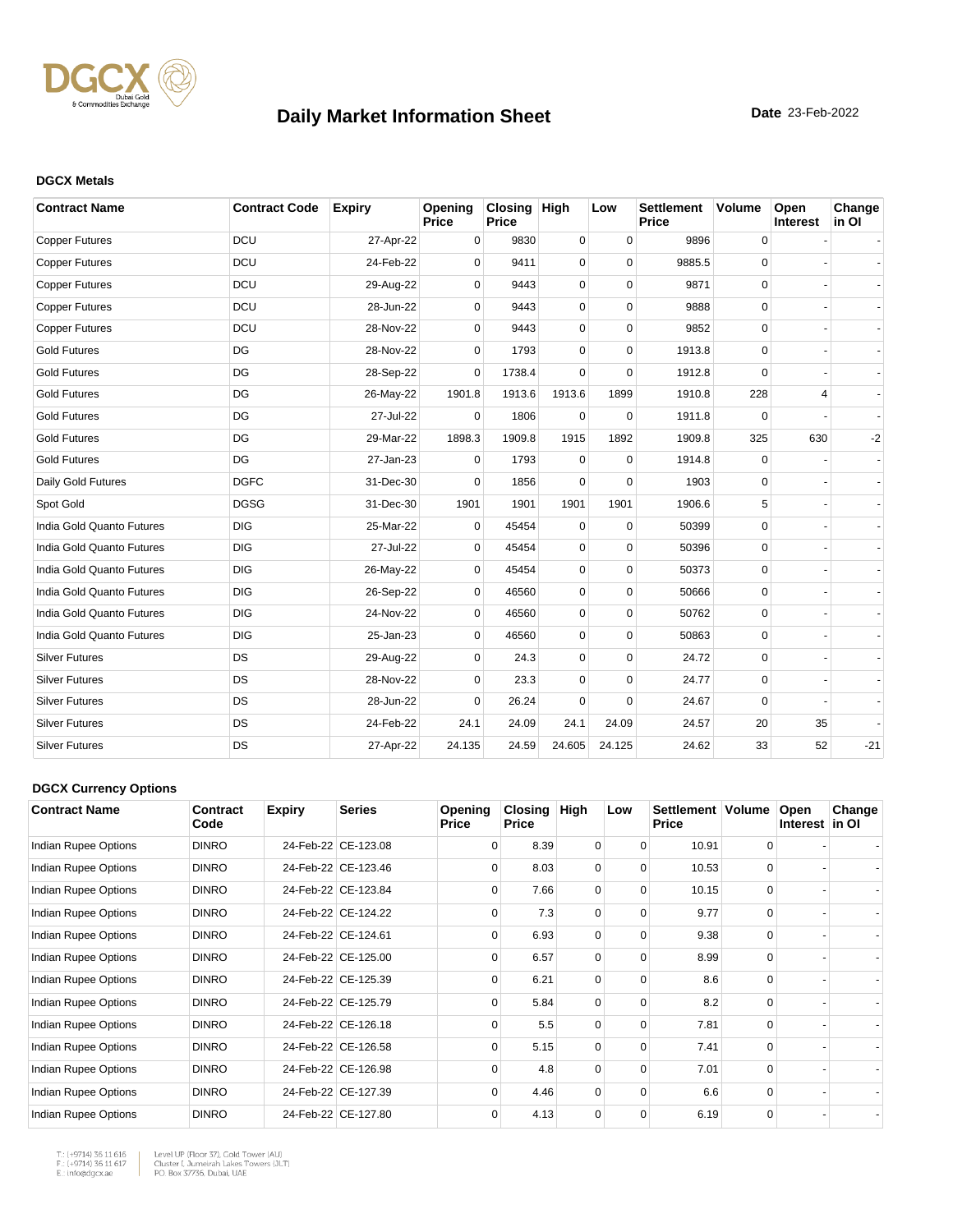

#### **DGCX Metals**

| <b>Contract Name</b>      | <b>Contract Code</b> | <b>Expiry</b> | Opening<br>Price | Closing High<br><b>Price</b> |             | Low         | <b>Settlement</b><br><b>Price</b> | <b>Volume</b> | Open<br>Interest | Change<br>in OI |
|---------------------------|----------------------|---------------|------------------|------------------------------|-------------|-------------|-----------------------------------|---------------|------------------|-----------------|
| <b>Copper Futures</b>     | DCU                  | 27-Apr-22     | 0                | 9830                         | $\mathbf 0$ | $\mathbf 0$ | 9896                              | 0             |                  |                 |
| <b>Copper Futures</b>     | DCU                  | 24-Feb-22     | $\Omega$         | 9411                         | 0           | $\Omega$    | 9885.5                            | $\mathbf 0$   |                  |                 |
| <b>Copper Futures</b>     | DCU                  | 29-Aug-22     | $\Omega$         | 9443                         | 0           | $\Omega$    | 9871                              | 0             |                  |                 |
| <b>Copper Futures</b>     | DCU                  | 28-Jun-22     | $\Omega$         | 9443                         | 0           | $\Omega$    | 9888                              | $\mathbf 0$   |                  |                 |
| <b>Copper Futures</b>     | DCU                  | 28-Nov-22     | 0                | 9443                         | 0           | $\mathbf 0$ | 9852                              | 0             |                  |                 |
| <b>Gold Futures</b>       | DG                   | 28-Nov-22     | $\Omega$         | 1793                         | $\Omega$    | $\Omega$    | 1913.8                            | 0             |                  |                 |
| <b>Gold Futures</b>       | DG                   | 28-Sep-22     | $\Omega$         | 1738.4                       | $\Omega$    | $\Omega$    | 1912.8                            | $\Omega$      |                  |                 |
| <b>Gold Futures</b>       | DG                   | 26-May-22     | 1901.8           | 1913.6                       | 1913.6      | 1899        | 1910.8                            | 228           | 4                |                 |
| <b>Gold Futures</b>       | DG                   | 27-Jul-22     | $\Omega$         | 1806                         | $\Omega$    | $\Omega$    | 1911.8                            | $\Omega$      |                  |                 |
| <b>Gold Futures</b>       | DG                   | 29-Mar-22     | 1898.3           | 1909.8                       | 1915        | 1892        | 1909.8                            | 325           | 630              | $-2$            |
| <b>Gold Futures</b>       | DG                   | 27-Jan-23     | $\mathbf 0$      | 1793                         | $\mathbf 0$ | $\mathbf 0$ | 1914.8                            | 0             |                  |                 |
| Daily Gold Futures        | <b>DGFC</b>          | 31-Dec-30     | $\Omega$         | 1856                         | 0           | $\Omega$    | 1903                              | 0             |                  |                 |
| Spot Gold                 | <b>DGSG</b>          | 31-Dec-30     | 1901             | 1901                         | 1901        | 1901        | 1906.6                            | 5             |                  |                 |
| India Gold Quanto Futures | <b>DIG</b>           | 25-Mar-22     | 0                | 45454                        | $\mathbf 0$ | $\mathbf 0$ | 50399                             | 0             |                  |                 |
| India Gold Quanto Futures | <b>DIG</b>           | 27-Jul-22     | $\Omega$         | 45454                        | 0           | $\Omega$    | 50396                             | $\mathbf 0$   |                  |                 |
| India Gold Quanto Futures | <b>DIG</b>           | 26-May-22     | $\mathbf 0$      | 45454                        | 0           | $\mathbf 0$ | 50373                             | $\mathbf 0$   |                  |                 |
| India Gold Quanto Futures | <b>DIG</b>           | 26-Sep-22     | $\Omega$         | 46560                        | 0           | $\Omega$    | 50666                             | $\mathbf 0$   |                  |                 |
| India Gold Quanto Futures | <b>DIG</b>           | 24-Nov-22     | $\Omega$         | 46560                        | 0           | $\Omega$    | 50762                             | 0             |                  |                 |
| India Gold Quanto Futures | <b>DIG</b>           | 25-Jan-23     | 0                | 46560                        | 0           | $\Omega$    | 50863                             | $\mathbf 0$   |                  |                 |
| <b>Silver Futures</b>     | DS                   | 29-Aug-22     | 0                | 24.3                         | 0           | $\mathbf 0$ | 24.72                             | 0             |                  |                 |
| <b>Silver Futures</b>     | DS                   | 28-Nov-22     | 0                | 23.3                         | 0           | $\mathbf 0$ | 24.77                             | 0             |                  |                 |
| <b>Silver Futures</b>     | DS                   | 28-Jun-22     | $\Omega$         | 26.24                        | 0           | $\Omega$    | 24.67                             | 0             |                  |                 |
| <b>Silver Futures</b>     | <b>DS</b>            | 24-Feb-22     | 24.1             | 24.09                        | 24.1        | 24.09       | 24.57                             | 20            | 35               |                 |
| <b>Silver Futures</b>     | <b>DS</b>            | 27-Apr-22     | 24.135           | 24.59                        | 24.605      | 24.125      | 24.62                             | 33            | 52               | $-21$           |

#### **DGCX Currency Options**

| <b>Contract Name</b> | Contract<br>Code | <b>Expiry</b> | <b>Series</b>       | Opening<br>Price | <b>Closing</b><br><b>Price</b> | High     | Low      | Settlement   Volume<br><b>Price</b> |          | Open<br>Interest in OI | Change |
|----------------------|------------------|---------------|---------------------|------------------|--------------------------------|----------|----------|-------------------------------------|----------|------------------------|--------|
| Indian Rupee Options | <b>DINRO</b>     |               | 24-Feb-22 CE-123.08 | $\Omega$         | 8.39                           | 0        | $\Omega$ | 10.91                               | 0        |                        |        |
| Indian Rupee Options | <b>DINRO</b>     |               | 24-Feb-22 CE-123.46 | $\Omega$         | 8.03                           | 0        | $\Omega$ | 10.53                               | $\Omega$ |                        |        |
| Indian Rupee Options | <b>DINRO</b>     |               | 24-Feb-22 CE-123.84 | $\Omega$         | 7.66                           | $\Omega$ | $\Omega$ | 10.15                               | $\Omega$ |                        |        |
| Indian Rupee Options | <b>DINRO</b>     |               | 24-Feb-22 CE-124.22 | $\Omega$         | 7.3                            | $\Omega$ | $\Omega$ | 9.77                                | $\Omega$ |                        |        |
| Indian Rupee Options | <b>DINRO</b>     |               | 24-Feb-22 CE-124.61 | $\Omega$         | 6.93                           | $\Omega$ | 0        | 9.38                                | $\Omega$ |                        |        |
| Indian Rupee Options | <b>DINRO</b>     |               | 24-Feb-22 CE-125.00 | $\Omega$         | 6.57                           | $\Omega$ | $\Omega$ | 8.99                                | $\Omega$ |                        |        |
| Indian Rupee Options | <b>DINRO</b>     |               | 24-Feb-22 CE-125.39 | $\Omega$         | 6.21                           | $\Omega$ | $\Omega$ | 8.6                                 | $\Omega$ |                        |        |
| Indian Rupee Options | <b>DINRO</b>     |               | 24-Feb-22 CE-125.79 | $\Omega$         | 5.84                           | $\Omega$ | $\Omega$ | 8.2                                 | $\Omega$ |                        |        |
| Indian Rupee Options | <b>DINRO</b>     |               | 24-Feb-22 CE-126.18 | $\Omega$         | 5.5                            | $\Omega$ | $\Omega$ | 7.81                                | $\Omega$ |                        |        |
| Indian Rupee Options | <b>DINRO</b>     |               | 24-Feb-22 CE-126.58 | $\Omega$         | 5.15                           | $\Omega$ | $\Omega$ | 7.41                                | $\Omega$ |                        |        |
| Indian Rupee Options | <b>DINRO</b>     |               | 24-Feb-22 CE-126.98 | $\Omega$         | 4.8                            | 0        | $\Omega$ | 7.01                                | $\Omega$ |                        |        |
| Indian Rupee Options | <b>DINRO</b>     |               | 24-Feb-22 CE-127.39 | $\Omega$         | 4.46                           | $\Omega$ | $\Omega$ | 6.6                                 | $\Omega$ |                        |        |
| Indian Rupee Options | <b>DINRO</b>     |               | 24-Feb-22 CE-127.80 | $\Omega$         | 4.13                           | 0        | 0        | 6.19                                | 0        |                        |        |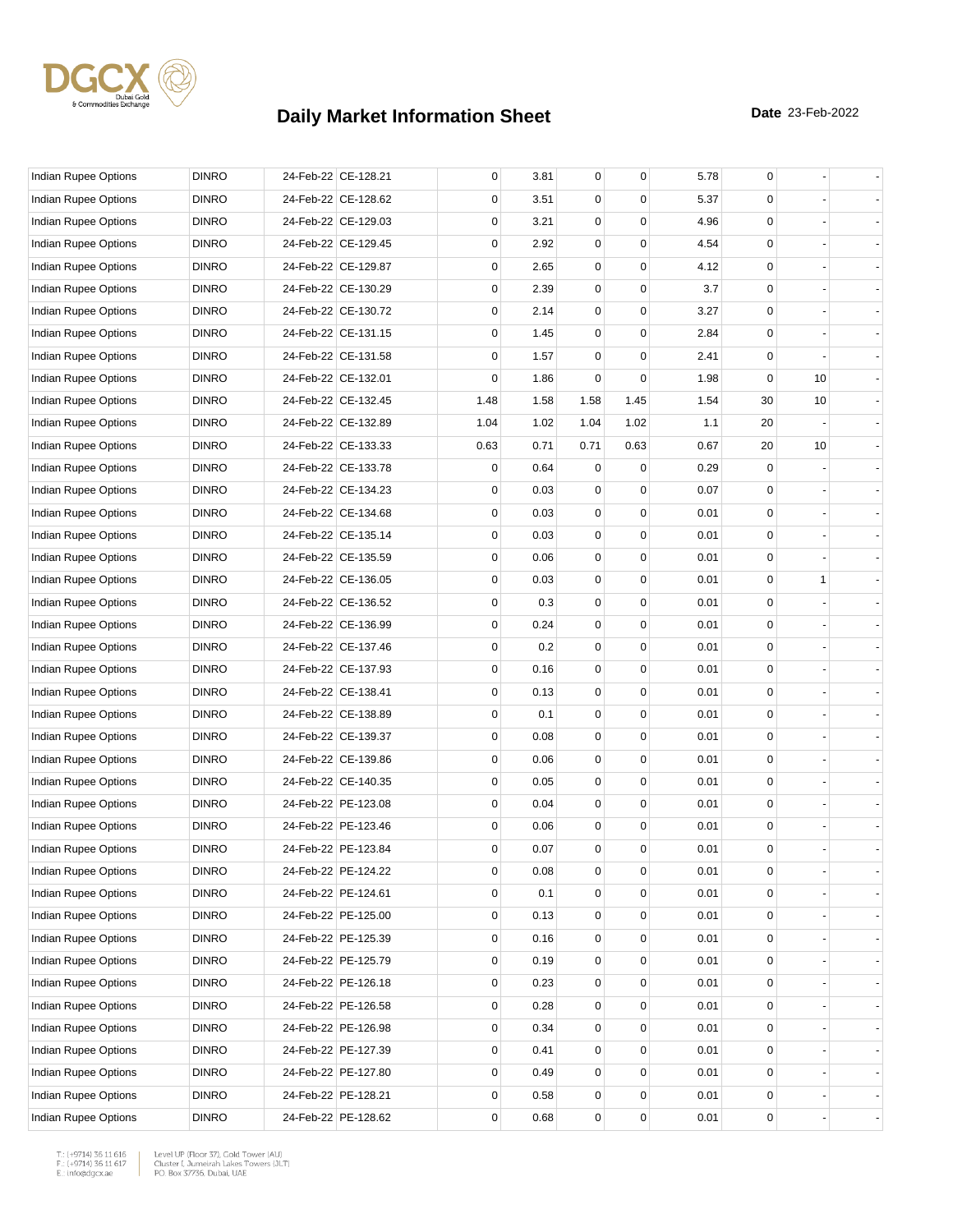

| Indian Rupee Options        | <b>DINRO</b> | 24-Feb-22 CE-128.21 | 0    | 3.81 | 0           | 0           | 5.78 | 0           |    |  |
|-----------------------------|--------------|---------------------|------|------|-------------|-------------|------|-------------|----|--|
| Indian Rupee Options        | <b>DINRO</b> | 24-Feb-22 CE-128.62 | 0    | 3.51 | 0           | 0           | 5.37 | $\Omega$    |    |  |
| <b>Indian Rupee Options</b> | <b>DINRO</b> | 24-Feb-22 CE-129.03 | 0    | 3.21 | 0           | 0           | 4.96 | 0           |    |  |
| Indian Rupee Options        | <b>DINRO</b> | 24-Feb-22 CE-129.45 | 0    | 2.92 | 0           | $\Omega$    | 4.54 | 0           |    |  |
| Indian Rupee Options        | <b>DINRO</b> | 24-Feb-22 CE-129.87 | 0    | 2.65 | 0           | 0           | 4.12 | $\mathbf 0$ |    |  |
| Indian Rupee Options        | <b>DINRO</b> | 24-Feb-22 CE-130.29 | 0    | 2.39 | 0           | 0           | 3.7  | $\mathbf 0$ |    |  |
| Indian Rupee Options        | <b>DINRO</b> | 24-Feb-22 CE-130.72 | 0    | 2.14 | 0           | $\Omega$    | 3.27 | 0           |    |  |
| <b>Indian Rupee Options</b> | <b>DINRO</b> | 24-Feb-22 CE-131.15 | 0    | 1.45 | 0           | $\mathbf 0$ | 2.84 | 0           |    |  |
| <b>Indian Rupee Options</b> | <b>DINRO</b> | 24-Feb-22 CE-131.58 | 0    | 1.57 | 0           | 0           | 2.41 | $\mathbf 0$ |    |  |
| Indian Rupee Options        | <b>DINRO</b> | 24-Feb-22 CE-132.01 | 0    | 1.86 | 0           | 0           | 1.98 | $\mathbf 0$ | 10 |  |
| Indian Rupee Options        | <b>DINRO</b> | 24-Feb-22 CE-132.45 | 1.48 | 1.58 | 1.58        | 1.45        | 1.54 | 30          | 10 |  |
| Indian Rupee Options        | <b>DINRO</b> | 24-Feb-22 CE-132.89 | 1.04 | 1.02 | 1.04        | 1.02        | 1.1  | 20          |    |  |
| Indian Rupee Options        | <b>DINRO</b> | 24-Feb-22 CE-133.33 | 0.63 | 0.71 | 0.71        | 0.63        | 0.67 | 20          | 10 |  |
| Indian Rupee Options        | <b>DINRO</b> | 24-Feb-22 CE-133.78 | 0    | 0.64 | 0           | 0           | 0.29 | $\mathbf 0$ |    |  |
| Indian Rupee Options        | <b>DINRO</b> | 24-Feb-22 CE-134.23 | 0    | 0.03 | 0           | 0           | 0.07 | $\mathbf 0$ |    |  |
| Indian Rupee Options        | <b>DINRO</b> | 24-Feb-22 CE-134.68 | 0    | 0.03 | 0           | 0           | 0.01 | 0           |    |  |
| Indian Rupee Options        | <b>DINRO</b> | 24-Feb-22 CE-135.14 | 0    | 0.03 | 0           | $\Omega$    | 0.01 | 0           |    |  |
| <b>Indian Rupee Options</b> | <b>DINRO</b> | 24-Feb-22 CE-135.59 | 0    | 0.06 | 0           | 0           | 0.01 | 0           |    |  |
| <b>Indian Rupee Options</b> | <b>DINRO</b> | 24-Feb-22 CE-136.05 | 0    | 0.03 | 0           | $\Omega$    | 0.01 | $\mathbf 0$ | 1  |  |
| Indian Rupee Options        | <b>DINRO</b> | 24-Feb-22 CE-136.52 | 0    | 0.3  | 0           | 0           | 0.01 | $\mathbf 0$ |    |  |
| Indian Rupee Options        | <b>DINRO</b> | 24-Feb-22 CE-136.99 | 0    | 0.24 | 0           | 0           | 0.01 | 0           |    |  |
| Indian Rupee Options        | <b>DINRO</b> | 24-Feb-22 CE-137.46 | 0    | 0.2  | 0           | $\Omega$    | 0.01 | 0           |    |  |
| Indian Rupee Options        | <b>DINRO</b> | 24-Feb-22 CE-137.93 | 0    | 0.16 | 0           | 0           | 0.01 | 0           |    |  |
| Indian Rupee Options        | <b>DINRO</b> | 24-Feb-22 CE-138.41 | 0    | 0.13 | 0           | $\Omega$    | 0.01 | 0           |    |  |
| Indian Rupee Options        | <b>DINRO</b> | 24-Feb-22 CE-138.89 | 0    | 0.1  | 0           | 0           | 0.01 | $\mathbf 0$ |    |  |
| Indian Rupee Options        | <b>DINRO</b> | 24-Feb-22 CE-139.37 | 0    | 0.08 | 0           | 0           | 0.01 | 0           |    |  |
| Indian Rupee Options        | <b>DINRO</b> | 24-Feb-22 CE-139.86 | 0    | 0.06 | 0           | $\Omega$    | 0.01 | 0           |    |  |
| Indian Rupee Options        | <b>DINRO</b> | 24-Feb-22 CE-140.35 | 0    | 0.05 | 0           | 0           | 0.01 | 0           |    |  |
| Indian Rupee Options        | <b>DINRO</b> | 24-Feb-22 PE-123.08 | 0    | 0.04 | 0           | $\Omega$    | 0.01 | $\mathbf 0$ |    |  |
| Indian Rupee Options        | <b>DINRO</b> | 24-Feb-22 PE-123.46 | 0    | 0.06 | 0           | 0           | 0.01 | $\mathbf 0$ |    |  |
| Indian Rupee Options        | <b>DINRO</b> | 24-Feb-22 PE-123.84 | 0    | 0.07 | $\mathbf 0$ | 0           | 0.01 | $\mathbf 0$ |    |  |
| Indian Rupee Options        | <b>DINRO</b> | 24-Feb-22 PE-124.22 | 0    | 0.08 | 0           | $\pmb{0}$   | 0.01 | 0           |    |  |
| Indian Rupee Options        | <b>DINRO</b> | 24-Feb-22 PE-124.61 | 0    | 0.1  | 0           | 0           | 0.01 | 0           |    |  |
| Indian Rupee Options        | <b>DINRO</b> | 24-Feb-22 PE-125.00 | 0    | 0.13 | 0           | $\mathbf 0$ | 0.01 | 0           |    |  |
| Indian Rupee Options        | <b>DINRO</b> | 24-Feb-22 PE-125.39 | 0    | 0.16 | 0           | 0           | 0.01 | 0           |    |  |
| <b>Indian Rupee Options</b> | <b>DINRO</b> | 24-Feb-22 PE-125.79 | 0    | 0.19 | 0           | 0           | 0.01 | 0           |    |  |
| <b>Indian Rupee Options</b> | <b>DINRO</b> | 24-Feb-22 PE-126.18 | 0    | 0.23 | 0           | 0           | 0.01 | $\mathbf 0$ |    |  |
| Indian Rupee Options        | <b>DINRO</b> | 24-Feb-22 PE-126.58 | 0    | 0.28 | 0           | 0           | 0.01 | 0           |    |  |
| Indian Rupee Options        | <b>DINRO</b> | 24-Feb-22 PE-126.98 | 0    | 0.34 | 0           | $\mathbf 0$ | 0.01 | 0           |    |  |
| Indian Rupee Options        | <b>DINRO</b> | 24-Feb-22 PE-127.39 | 0    | 0.41 | 0           | 0           | 0.01 | 0           |    |  |
| Indian Rupee Options        | <b>DINRO</b> | 24-Feb-22 PE-127.80 | 0    | 0.49 | 0           | $\mathbf 0$ | 0.01 | 0           |    |  |
| Indian Rupee Options        | <b>DINRO</b> | 24-Feb-22 PE-128.21 | 0    | 0.58 | 0           | 0           | 0.01 | 0           |    |  |
| Indian Rupee Options        | <b>DINRO</b> | 24-Feb-22 PE-128.62 | 0    | 0.68 | 0           | 0           | 0.01 | 0           |    |  |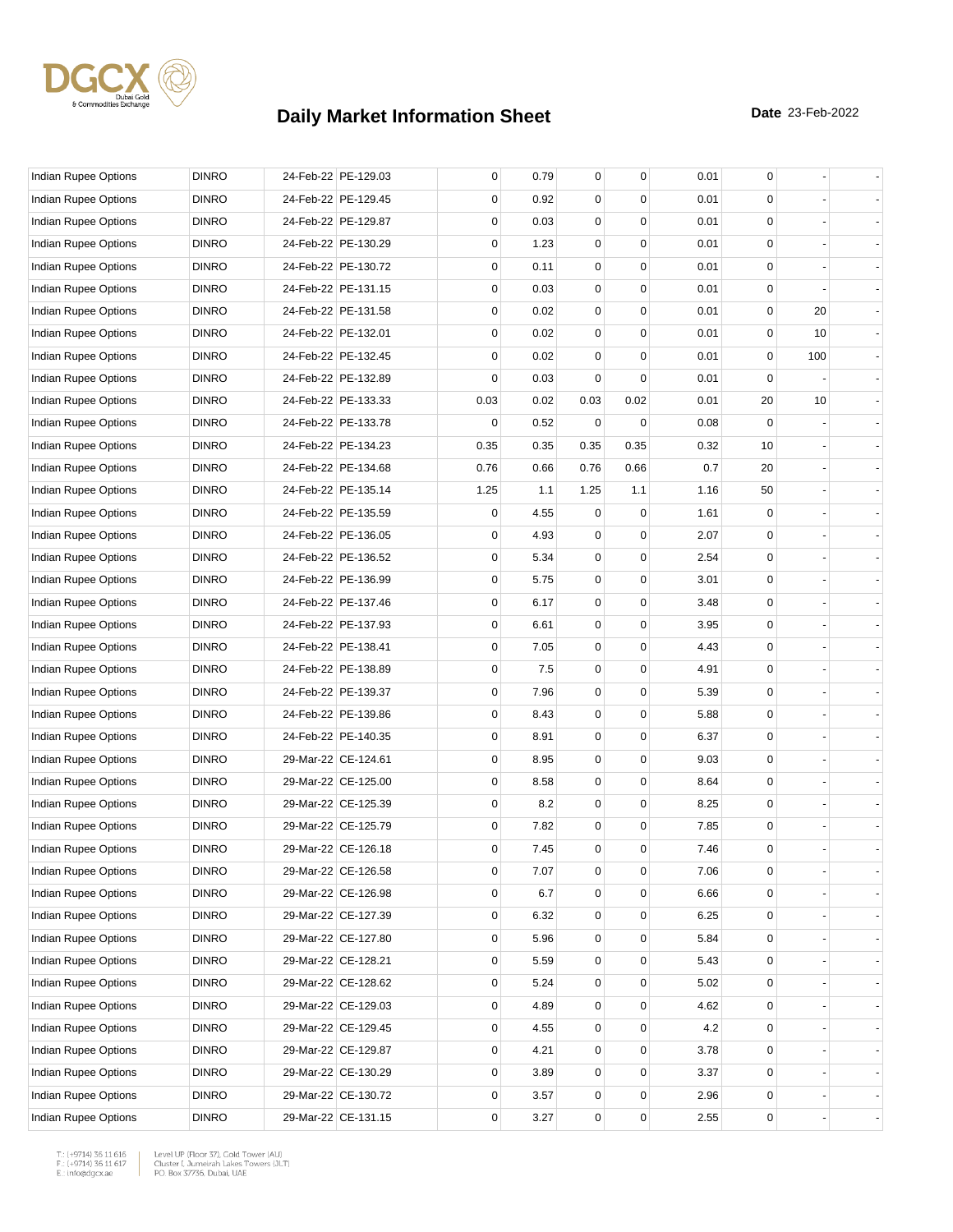

| Indian Rupee Options        | <b>DINRO</b> | 24-Feb-22 PE-129.03 | 0    | 0.79 | 0           | 0         | 0.01 | 0           |     |  |
|-----------------------------|--------------|---------------------|------|------|-------------|-----------|------|-------------|-----|--|
| Indian Rupee Options        | <b>DINRO</b> | 24-Feb-22 PE-129.45 | 0    | 0.92 | 0           | 0         | 0.01 | $\Omega$    |     |  |
| Indian Rupee Options        | <b>DINRO</b> | 24-Feb-22 PE-129.87 | 0    | 0.03 | 0           | 0         | 0.01 | 0           |     |  |
| Indian Rupee Options        | <b>DINRO</b> | 24-Feb-22 PE-130.29 | 0    | 1.23 | 0           | $\Omega$  | 0.01 | 0           |     |  |
| Indian Rupee Options        | <b>DINRO</b> | 24-Feb-22 PE-130.72 | 0    | 0.11 | 0           | 0         | 0.01 | $\mathbf 0$ |     |  |
| Indian Rupee Options        | <b>DINRO</b> | 24-Feb-22 PE-131.15 | 0    | 0.03 | 0           | 0         | 0.01 | 0           |     |  |
| Indian Rupee Options        | <b>DINRO</b> | 24-Feb-22 PE-131.58 | 0    | 0.02 | 0           | $\Omega$  | 0.01 | 0           | 20  |  |
| <b>Indian Rupee Options</b> | <b>DINRO</b> | 24-Feb-22 PE-132.01 | 0    | 0.02 | 0           | 0         | 0.01 | $\mathbf 0$ | 10  |  |
| <b>Indian Rupee Options</b> | <b>DINRO</b> | 24-Feb-22 PE-132.45 | 0    | 0.02 | 0           | 0         | 0.01 | $\mathbf 0$ | 100 |  |
| Indian Rupee Options        | <b>DINRO</b> | 24-Feb-22 PE-132.89 | 0    | 0.03 | 0           | 0         | 0.01 | $\mathbf 0$ |     |  |
| Indian Rupee Options        | <b>DINRO</b> | 24-Feb-22 PE-133.33 | 0.03 | 0.02 | 0.03        | 0.02      | 0.01 | 20          | 10  |  |
| Indian Rupee Options        | <b>DINRO</b> | 24-Feb-22 PE-133.78 | 0    | 0.52 | 0           | $\Omega$  | 0.08 | $\Omega$    |     |  |
| Indian Rupee Options        | <b>DINRO</b> | 24-Feb-22 PE-134.23 | 0.35 | 0.35 | 0.35        | 0.35      | 0.32 | 10          |     |  |
| Indian Rupee Options        | <b>DINRO</b> | 24-Feb-22 PE-134.68 | 0.76 | 0.66 | 0.76        | 0.66      | 0.7  | 20          |     |  |
| Indian Rupee Options        | <b>DINRO</b> | 24-Feb-22 PE-135.14 | 1.25 | 1.1  | 1.25        | 1.1       | 1.16 | 50          |     |  |
| Indian Rupee Options        | <b>DINRO</b> | 24-Feb-22 PE-135.59 | 0    | 4.55 | 0           | 0         | 1.61 | $\mathbf 0$ |     |  |
| Indian Rupee Options        | <b>DINRO</b> | 24-Feb-22 PE-136.05 | 0    | 4.93 | 0           | $\Omega$  | 2.07 | 0           |     |  |
| Indian Rupee Options        | <b>DINRO</b> | 24-Feb-22 PE-136.52 | 0    | 5.34 | 0           | 0         | 2.54 | 0           |     |  |
| <b>Indian Rupee Options</b> | <b>DINRO</b> | 24-Feb-22 PE-136.99 | 0    | 5.75 | 0           | $\Omega$  | 3.01 | $\mathbf 0$ |     |  |
| Indian Rupee Options        | <b>DINRO</b> | 24-Feb-22 PE-137.46 | 0    | 6.17 | $\mathbf 0$ | 0         | 3.48 | $\mathbf 0$ |     |  |
| Indian Rupee Options        | <b>DINRO</b> | 24-Feb-22 PE-137.93 | 0    | 6.61 | $\mathbf 0$ | 0         | 3.95 | 0           |     |  |
| Indian Rupee Options        | <b>DINRO</b> | 24-Feb-22 PE-138.41 | 0    | 7.05 | 0           | $\Omega$  | 4.43 | 0           |     |  |
| Indian Rupee Options        | <b>DINRO</b> | 24-Feb-22 PE-138.89 | 0    | 7.5  | 0           | 0         | 4.91 | 0           |     |  |
| Indian Rupee Options        | <b>DINRO</b> | 24-Feb-22 PE-139.37 | 0    | 7.96 | 0           | $\Omega$  | 5.39 | 0           |     |  |
| Indian Rupee Options        | <b>DINRO</b> | 24-Feb-22 PE-139.86 | 0    | 8.43 | 0           | 0         | 5.88 | $\mathbf 0$ |     |  |
| Indian Rupee Options        | <b>DINRO</b> | 24-Feb-22 PE-140.35 | 0    | 8.91 | $\mathbf 0$ | 0         | 6.37 | 0           |     |  |
| Indian Rupee Options        | <b>DINRO</b> | 29-Mar-22 CE-124.61 | 0    | 8.95 | 0           | $\Omega$  | 9.03 | 0           |     |  |
| Indian Rupee Options        | <b>DINRO</b> | 29-Mar-22 CE-125.00 | 0    | 8.58 | 0           | 0         | 8.64 | 0           |     |  |
| Indian Rupee Options        | <b>DINRO</b> | 29-Mar-22 CE-125.39 | 0    | 8.2  | 0           | 0         | 8.25 | $\mathbf 0$ |     |  |
| Indian Rupee Options        | <b>DINRO</b> | 29-Mar-22 CE-125.79 | 0    | 7.82 | $\mathbf 0$ | 0         | 7.85 | $\mathbf 0$ |     |  |
| Indian Rupee Options        | <b>DINRO</b> | 29-Mar-22 CE-126.18 | 0    | 7.45 | $\mathbf 0$ | 0         | 7.46 | $\mathbf 0$ |     |  |
| Indian Rupee Options        | <b>DINRO</b> | 29-Mar-22 CE-126.58 | 0    | 7.07 | 0           | $\pmb{0}$ | 7.06 | 0           |     |  |
| <b>Indian Rupee Options</b> | <b>DINRO</b> | 29-Mar-22 CE-126.98 | 0    | 6.7  | 0           | 0         | 6.66 | 0           |     |  |
| <b>Indian Rupee Options</b> | <b>DINRO</b> | 29-Mar-22 CE-127.39 | 0    | 6.32 | 0           | 0         | 6.25 | 0           |     |  |
| Indian Rupee Options        | <b>DINRO</b> | 29-Mar-22 CE-127.80 | 0    | 5.96 | 0           | 0         | 5.84 | 0           |     |  |
| <b>Indian Rupee Options</b> | <b>DINRO</b> | 29-Mar-22 CE-128.21 | 0    | 5.59 | 0           | 0         | 5.43 | 0           |     |  |
| <b>Indian Rupee Options</b> | <b>DINRO</b> | 29-Mar-22 CE-128.62 | 0    | 5.24 | 0           | 0         | 5.02 | $\mathbf 0$ |     |  |
| <b>Indian Rupee Options</b> | <b>DINRO</b> | 29-Mar-22 CE-129.03 | 0    | 4.89 | 0           | 0         | 4.62 | 0           |     |  |
| Indian Rupee Options        | <b>DINRO</b> | 29-Mar-22 CE-129.45 | 0    | 4.55 | 0           | 0         | 4.2  | 0           |     |  |
| Indian Rupee Options        | <b>DINRO</b> | 29-Mar-22 CE-129.87 | 0    | 4.21 | 0           | 0         | 3.78 | 0           |     |  |
| Indian Rupee Options        | <b>DINRO</b> | 29-Mar-22 CE-130.29 | 0    | 3.89 | 0           | 0         | 3.37 | 0           |     |  |
| Indian Rupee Options        | <b>DINRO</b> | 29-Mar-22 CE-130.72 | 0    | 3.57 | 0           | 0         | 2.96 | 0           |     |  |
| Indian Rupee Options        | <b>DINRO</b> | 29-Mar-22 CE-131.15 | 0    | 3.27 | 0           | 0         | 2.55 | 0           |     |  |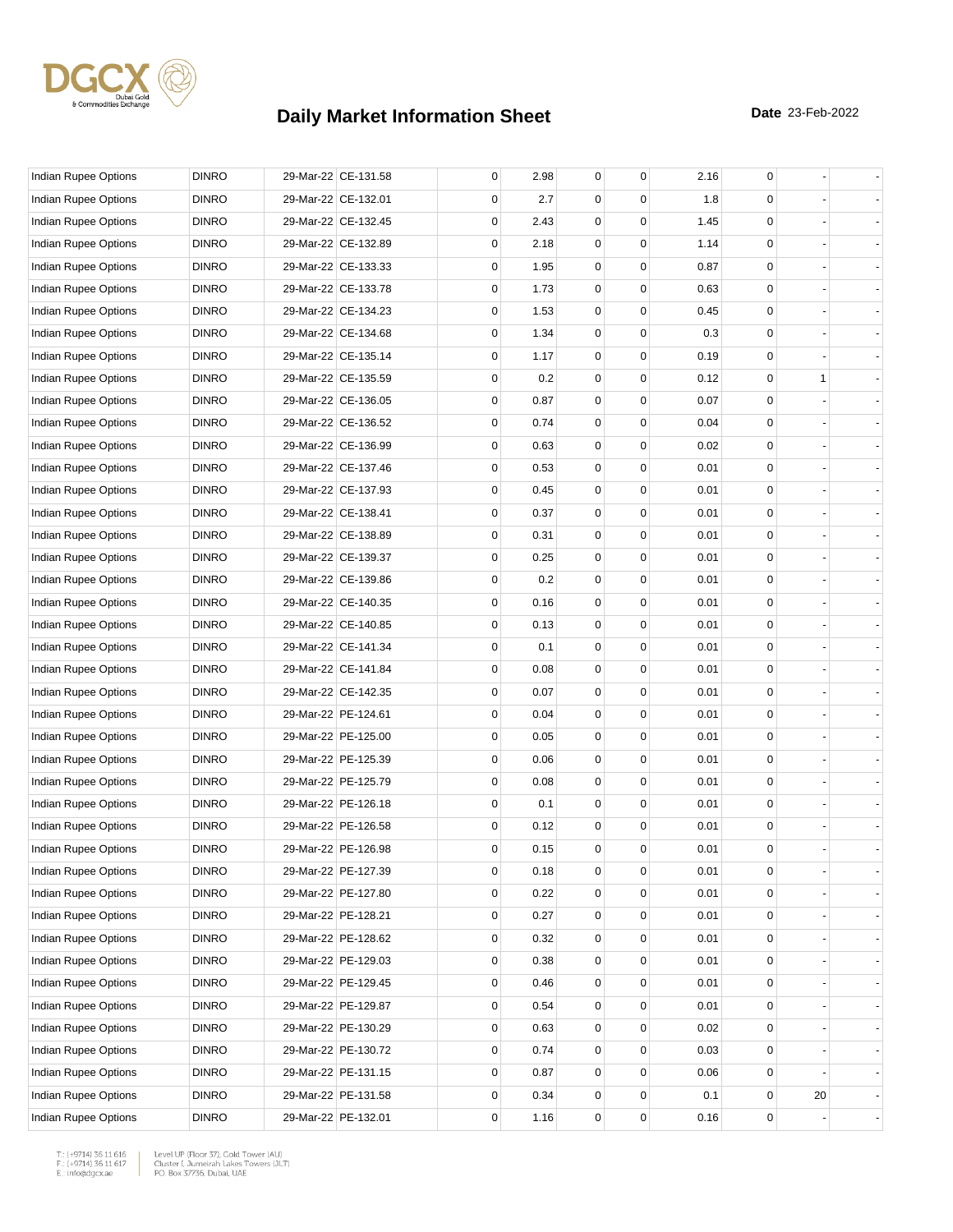

| Indian Rupee Options        | <b>DINRO</b> | 29-Mar-22 CE-131.58 | 0           | 2.98 | $\mathbf 0$ | $\mathbf 0$ | 2.16 | 0           |    |  |
|-----------------------------|--------------|---------------------|-------------|------|-------------|-------------|------|-------------|----|--|
| Indian Rupee Options        | <b>DINRO</b> | 29-Mar-22 CE-132.01 | 0           | 2.7  | 0           | $\Omega$    | 1.8  | 0           |    |  |
| Indian Rupee Options        | <b>DINRO</b> | 29-Mar-22 CE-132.45 | 0           | 2.43 | 0           | 0           | 1.45 | $\mathbf 0$ |    |  |
| Indian Rupee Options        | <b>DINRO</b> | 29-Mar-22 CE-132.89 | 0           | 2.18 | 0           | 0           | 1.14 | 0           |    |  |
| Indian Rupee Options        | <b>DINRO</b> | 29-Mar-22 CE-133.33 | 0           | 1.95 | 0           | 0           | 0.87 | 0           |    |  |
| Indian Rupee Options        | <b>DINRO</b> | 29-Mar-22 CE-133.78 | 0           | 1.73 | $\mathbf 0$ | $\mathbf 0$ | 0.63 | 0           |    |  |
| Indian Rupee Options        | <b>DINRO</b> | 29-Mar-22 CE-134.23 | 0           | 1.53 | 0           | $\Omega$    | 0.45 | 0           |    |  |
| Indian Rupee Options        | <b>DINRO</b> | 29-Mar-22 CE-134.68 | 0           | 1.34 | 0           | $\Omega$    | 0.3  | 0           |    |  |
| <b>Indian Rupee Options</b> | <b>DINRO</b> | 29-Mar-22 CE-135.14 | 0           | 1.17 | 0           | 0           | 0.19 | 0           |    |  |
| Indian Rupee Options        | <b>DINRO</b> | 29-Mar-22 CE-135.59 | 0           | 0.2  | 0           | 0           | 0.12 | $\mathbf 0$ | 1  |  |
| Indian Rupee Options        | <b>DINRO</b> | 29-Mar-22 CE-136.05 | 0           | 0.87 | $\mathbf 0$ | $\mathbf 0$ | 0.07 | 0           |    |  |
| Indian Rupee Options        | <b>DINRO</b> | 29-Mar-22 CE-136.52 | 0           | 0.74 | 0           | $\Omega$    | 0.04 | 0           |    |  |
| Indian Rupee Options        | <b>DINRO</b> | 29-Mar-22 CE-136.99 | 0           | 0.63 | 0           | $\Omega$    | 0.02 | 0           |    |  |
| Indian Rupee Options        | <b>DINRO</b> | 29-Mar-22 CE-137.46 | 0           | 0.53 | 0           | 0           | 0.01 | 0           |    |  |
| Indian Rupee Options        | <b>DINRO</b> | 29-Mar-22 CE-137.93 | 0           | 0.45 | 0           | 0           | 0.01 | 0           |    |  |
| Indian Rupee Options        | <b>DINRO</b> | 29-Mar-22 CE-138.41 | 0           | 0.37 | $\mathbf 0$ | $\mathbf 0$ | 0.01 | 0           |    |  |
| Indian Rupee Options        | <b>DINRO</b> | 29-Mar-22 CE-138.89 | 0           | 0.31 | 0           | $\Omega$    | 0.01 | 0           |    |  |
| Indian Rupee Options        | <b>DINRO</b> | 29-Mar-22 CE-139.37 | 0           | 0.25 | 0           | $\Omega$    | 0.01 | 0           |    |  |
| <b>Indian Rupee Options</b> | <b>DINRO</b> | 29-Mar-22 CE-139.86 | 0           | 0.2  | 0           | 0           | 0.01 | 0           |    |  |
| Indian Rupee Options        | <b>DINRO</b> | 29-Mar-22 CE-140.35 | $\mathbf 0$ | 0.16 | 0           | 0           | 0.01 | 0           |    |  |
| Indian Rupee Options        | <b>DINRO</b> | 29-Mar-22 CE-140.85 | 0           | 0.13 | $\mathbf 0$ | $\mathbf 0$ | 0.01 | 0           |    |  |
| Indian Rupee Options        | <b>DINRO</b> | 29-Mar-22 CE-141.34 | 0           | 0.1  | 0           | $\Omega$    | 0.01 | 0           |    |  |
| Indian Rupee Options        | <b>DINRO</b> | 29-Mar-22 CE-141.84 | 0           | 0.08 | 0           | $\Omega$    | 0.01 | 0           |    |  |
| Indian Rupee Options        | <b>DINRO</b> | 29-Mar-22 CE-142.35 | 0           | 0.07 | 0           | 0           | 0.01 | 0           |    |  |
| Indian Rupee Options        | <b>DINRO</b> | 29-Mar-22 PE-124.61 | 0           | 0.04 | 0           | 0           | 0.01 | 0           |    |  |
| Indian Rupee Options        | <b>DINRO</b> | 29-Mar-22 PE-125.00 | 0           | 0.05 | $\mathbf 0$ | $\mathbf 0$ | 0.01 | 0           |    |  |
| Indian Rupee Options        | <b>DINRO</b> | 29-Mar-22 PE-125.39 | 0           | 0.06 | 0           | $\Omega$    | 0.01 | 0           |    |  |
| Indian Rupee Options        | <b>DINRO</b> | 29-Mar-22 PE-125.79 | 0           | 0.08 | 0           | $\Omega$    | 0.01 | 0           |    |  |
| Indian Rupee Options        | <b>DINRO</b> | 29-Mar-22 PE-126.18 | 0           | 0.1  | 0           | 0           | 0.01 | 0           |    |  |
| Indian Rupee Options        | <b>DINRO</b> | 29-Mar-22 PE-126.58 | 0           | 0.12 | 0           | 0           | 0.01 | 0           |    |  |
| Indian Rupee Options        | <b>DINRO</b> | 29-Mar-22 PE-126.98 | 0           | 0.15 | $\mathbf 0$ | $\mathbf 0$ | 0.01 | 0           |    |  |
| Indian Rupee Options        | <b>DINRO</b> | 29-Mar-22 PE-127.39 | 0           | 0.18 | 0           | 0           | 0.01 | 0           |    |  |
| Indian Rupee Options        | <b>DINRO</b> | 29-Mar-22 PE-127.80 | 0           | 0.22 | 0           | 0           | 0.01 | 0           |    |  |
| Indian Rupee Options        | <b>DINRO</b> | 29-Mar-22 PE-128.21 | 0           | 0.27 | 0           | 0           | 0.01 | 0           |    |  |
| Indian Rupee Options        | <b>DINRO</b> | 29-Mar-22 PE-128.62 | 0           | 0.32 | 0           | $\mathbf 0$ | 0.01 | $\mathsf 0$ |    |  |
| Indian Rupee Options        | <b>DINRO</b> | 29-Mar-22 PE-129.03 | 0           | 0.38 | 0           | $\mathbf 0$ | 0.01 | 0           |    |  |
| Indian Rupee Options        | <b>DINRO</b> | 29-Mar-22 PE-129.45 | 0           | 0.46 | 0           | 0           | 0.01 | 0           |    |  |
| Indian Rupee Options        | <b>DINRO</b> | 29-Mar-22 PE-129.87 | 0           | 0.54 | 0           | 0           | 0.01 | 0           |    |  |
| <b>Indian Rupee Options</b> | <b>DINRO</b> | 29-Mar-22 PE-130.29 | 0           | 0.63 | 0           | 0           | 0.02 | 0           |    |  |
| Indian Rupee Options        | <b>DINRO</b> | 29-Mar-22 PE-130.72 | 0           | 0.74 | 0           | $\mathbf 0$ | 0.03 | 0           |    |  |
| Indian Rupee Options        | <b>DINRO</b> | 29-Mar-22 PE-131.15 | 0           | 0.87 | 0           | $\mathbf 0$ | 0.06 | 0           |    |  |
| Indian Rupee Options        | <b>DINRO</b> | 29-Mar-22 PE-131.58 | 0           | 0.34 | 0           | 0           | 0.1  | 0           | 20 |  |
| Indian Rupee Options        | <b>DINRO</b> | 29-Mar-22 PE-132.01 | 0           | 1.16 | 0           | 0           | 0.16 | 0           |    |  |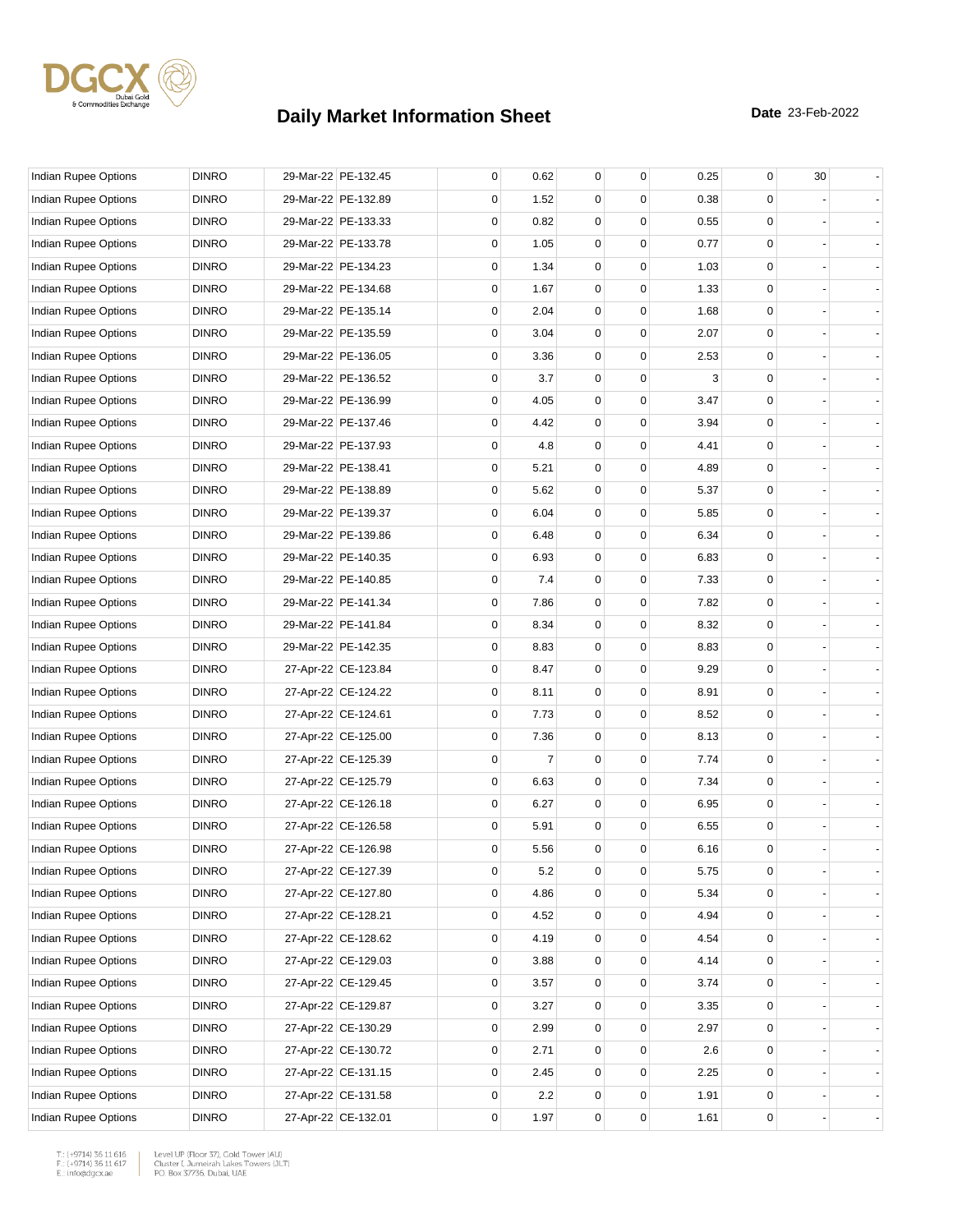

| <b>Indian Rupee Options</b> | <b>DINRO</b> | 29-Mar-22 PE-132.45 | 0 | 0.62    | $\mathbf{0}$ | 0        | 0.25 | 0           | 30 |  |
|-----------------------------|--------------|---------------------|---|---------|--------------|----------|------|-------------|----|--|
| Indian Rupee Options        | <b>DINRO</b> | 29-Mar-22 PE-132.89 | 0 | 1.52    | $\Omega$     | 0        | 0.38 | $\Omega$    |    |  |
| Indian Rupee Options        | <b>DINRO</b> | 29-Mar-22 PE-133.33 | 0 | 0.82    | 0            | 0        | 0.55 | $\mathbf 0$ |    |  |
| Indian Rupee Options        | <b>DINRO</b> | 29-Mar-22 PE-133.78 | 0 | 1.05    | 0            | 0        | 0.77 | $\mathbf 0$ |    |  |
| Indian Rupee Options        | <b>DINRO</b> | 29-Mar-22 PE-134.23 | 0 | 1.34    | 0            | 0        | 1.03 | $\mathbf 0$ |    |  |
| Indian Rupee Options        | <b>DINRO</b> | 29-Mar-22 PE-134.68 | 0 | 1.67    | 0            | 0        | 1.33 | $\mathbf 0$ |    |  |
| Indian Rupee Options        | <b>DINRO</b> | 29-Mar-22 PE-135.14 | 0 | 2.04    | 0            | $\Omega$ | 1.68 | 0           |    |  |
| Indian Rupee Options        | <b>DINRO</b> | 29-Mar-22 PE-135.59 | 0 | 3.04    | 0            | 0        | 2.07 | $\mathbf 0$ |    |  |
| Indian Rupee Options        | <b>DINRO</b> | 29-Mar-22 PE-136.05 | 0 | 3.36    | 0            | 0        | 2.53 | $\mathbf 0$ |    |  |
| Indian Rupee Options        | <b>DINRO</b> | 29-Mar-22 PE-136.52 | 0 | 3.7     | 0            | 0        | 3    | $\mathbf 0$ |    |  |
| Indian Rupee Options        | <b>DINRO</b> | 29-Mar-22 PE-136.99 | 0 | 4.05    | 0            | 0        | 3.47 | $\mathbf 0$ |    |  |
| Indian Rupee Options        | <b>DINRO</b> | 29-Mar-22 PE-137.46 | 0 | 4.42    | $\Omega$     | $\Omega$ | 3.94 | $\Omega$    |    |  |
| Indian Rupee Options        | <b>DINRO</b> | 29-Mar-22 PE-137.93 | 0 | 4.8     | 0            | 0        | 4.41 | $\mathbf 0$ |    |  |
| Indian Rupee Options        | <b>DINRO</b> | 29-Mar-22 PE-138.41 | 0 | 5.21    | 0            | 0        | 4.89 | $\mathbf 0$ |    |  |
| Indian Rupee Options        | <b>DINRO</b> | 29-Mar-22 PE-138.89 | 0 | 5.62    | 0            | 0        | 5.37 | $\mathbf 0$ |    |  |
| <b>Indian Rupee Options</b> | <b>DINRO</b> | 29-Mar-22 PE-139.37 | 0 | 6.04    | 0            | 0        | 5.85 | 0           |    |  |
| Indian Rupee Options        | <b>DINRO</b> | 29-Mar-22 PE-139.86 | 0 | 6.48    | $\Omega$     | $\Omega$ | 6.34 | 0           |    |  |
| Indian Rupee Options        | <b>DINRO</b> | 29-Mar-22 PE-140.35 | 0 | 6.93    | 0            | 0        | 6.83 | $\mathbf 0$ |    |  |
| Indian Rupee Options        | <b>DINRO</b> | 29-Mar-22 PE-140.85 | 0 | 7.4     | 0            | 0        | 7.33 | $\mathbf 0$ |    |  |
| Indian Rupee Options        | <b>DINRO</b> | 29-Mar-22 PE-141.34 | 0 | 7.86    | 0            | 0        | 7.82 | $\mathbf 0$ |    |  |
| Indian Rupee Options        | <b>DINRO</b> | 29-Mar-22 PE-141.84 | 0 | 8.34    | 0            | 0        | 8.32 | 0           |    |  |
| Indian Rupee Options        | <b>DINRO</b> | 29-Mar-22 PE-142.35 | 0 | 8.83    | 0            | 0        | 8.83 | 0           |    |  |
| Indian Rupee Options        | <b>DINRO</b> | 27-Apr-22 CE-123.84 | 0 | 8.47    | 0            | 0        | 9.29 | $\mathbf 0$ |    |  |
| Indian Rupee Options        | <b>DINRO</b> | 27-Apr-22 CE-124.22 | 0 | 8.11    | 0            | 0        | 8.91 | $\mathbf 0$ |    |  |
| Indian Rupee Options        | <b>DINRO</b> | 27-Apr-22 CE-124.61 | 0 | 7.73    | 0            | 0        | 8.52 | $\mathbf 0$ |    |  |
| Indian Rupee Options        | <b>DINRO</b> | 27-Apr-22 CE-125.00 | 0 | 7.36    | 0            | 0        | 8.13 | 0           |    |  |
| Indian Rupee Options        | <b>DINRO</b> | 27-Apr-22 CE-125.39 | 0 | 7       | 0            | $\Omega$ | 7.74 | 0           |    |  |
| Indian Rupee Options        | <b>DINRO</b> | 27-Apr-22 CE-125.79 | 0 | 6.63    | 0            | 0        | 7.34 | $\mathbf 0$ |    |  |
| Indian Rupee Options        | <b>DINRO</b> | 27-Apr-22 CE-126.18 | 0 | 6.27    | 0            | 0        | 6.95 | $\mathbf 0$ |    |  |
| Indian Rupee Options        | <b>DINRO</b> | 27-Apr-22 CE-126.58 | 0 | 5.91    | 0            | 0        | 6.55 | 0           |    |  |
| <b>Indian Rupee Options</b> | <b>DINRO</b> | 27-Apr-22 CE-126.98 | 0 | 5.56    | $\mathbf{0}$ | 0        | 6.16 | 0           |    |  |
| Indian Rupee Options        | <b>DINRO</b> | 27-Apr-22 CE-127.39 | 0 | $5.2\,$ | 0            | 0        | 5.75 | $\pmb{0}$   |    |  |
| Indian Rupee Options        | <b>DINRO</b> | 27-Apr-22 CE-127.80 | 0 | 4.86    | 0            | 0        | 5.34 | $\mathbf 0$ |    |  |
| Indian Rupee Options        | <b>DINRO</b> | 27-Apr-22 CE-128.21 | 0 | 4.52    | 0            | 0        | 4.94 | $\mathbf 0$ |    |  |
| Indian Rupee Options        | <b>DINRO</b> | 27-Apr-22 CE-128.62 | 0 | 4.19    | 0            | 0        | 4.54 | $\mathbf 0$ |    |  |
| Indian Rupee Options        | <b>DINRO</b> | 27-Apr-22 CE-129.03 | 0 | 3.88    | 0            | 0        | 4.14 | 0           |    |  |
| Indian Rupee Options        | <b>DINRO</b> | 27-Apr-22 CE-129.45 | 0 | 3.57    | 0            | 0        | 3.74 | 0           |    |  |
| <b>Indian Rupee Options</b> | <b>DINRO</b> | 27-Apr-22 CE-129.87 | 0 | 3.27    | 0            | 0        | 3.35 | $\mathbf 0$ |    |  |
| Indian Rupee Options        | <b>DINRO</b> | 27-Apr-22 CE-130.29 | 0 | 2.99    | 0            | 0        | 2.97 | $\mathbf 0$ |    |  |
| Indian Rupee Options        | <b>DINRO</b> | 27-Apr-22 CE-130.72 | 0 | 2.71    | 0            | 0        | 2.6  | $\mathbf 0$ |    |  |
| Indian Rupee Options        | <b>DINRO</b> | 27-Apr-22 CE-131.15 | 0 | 2.45    | 0            | 0        | 2.25 | $\mathbf 0$ |    |  |
| Indian Rupee Options        | <b>DINRO</b> | 27-Apr-22 CE-131.58 | 0 | 2.2     | 0            | 0        | 1.91 | 0           |    |  |
| Indian Rupee Options        | <b>DINRO</b> | 27-Apr-22 CE-132.01 | 0 | 1.97    | 0            | 0        | 1.61 | $\mathsf 0$ |    |  |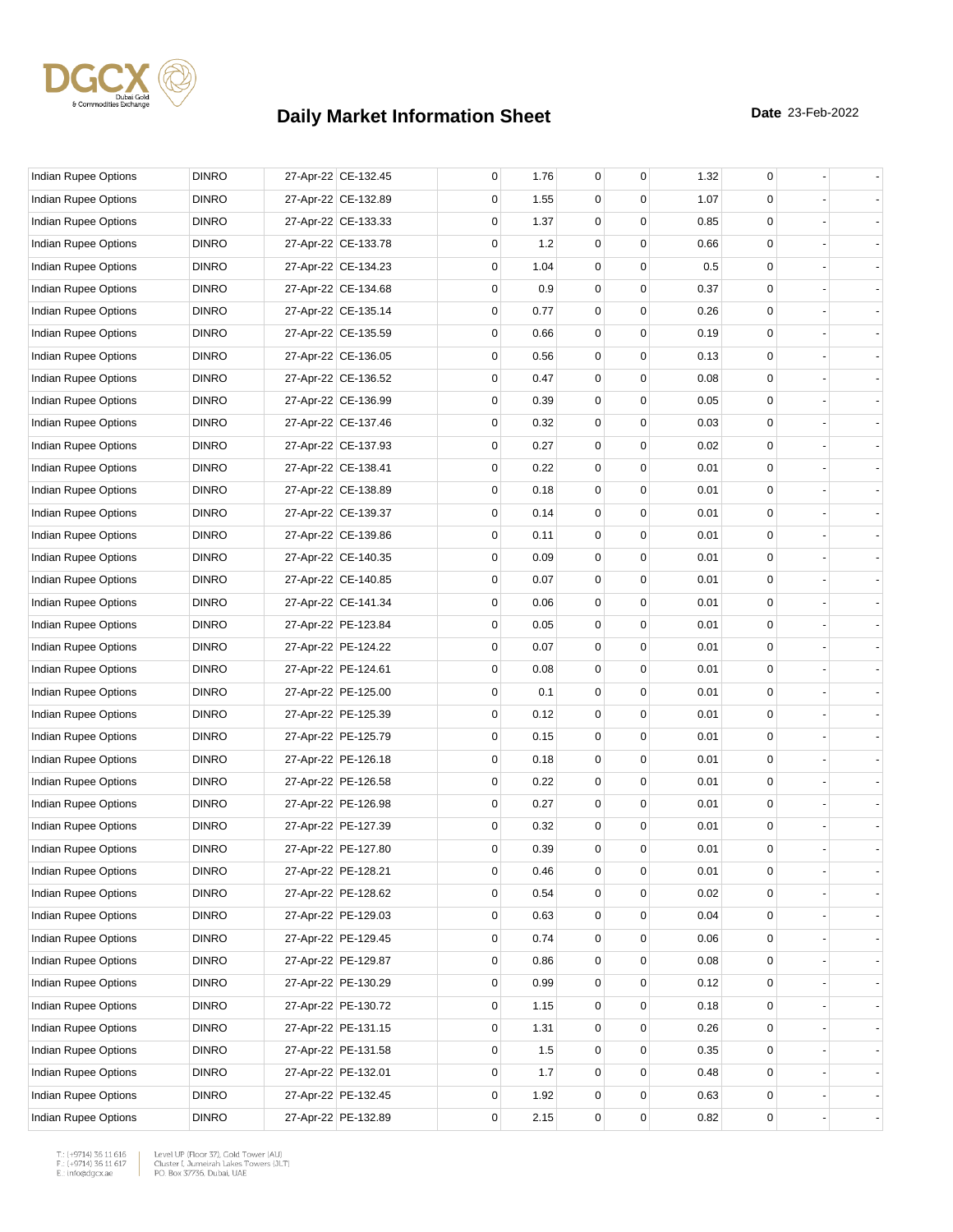

| Indian Rupee Options        | <b>DINRO</b> | 27-Apr-22 CE-132.45 | 0 | 1.76 | 0            | 0 | 1.32 | 0                |                |
|-----------------------------|--------------|---------------------|---|------|--------------|---|------|------------------|----------------|
| Indian Rupee Options        | <b>DINRO</b> | 27-Apr-22 CE-132.89 | 0 | 1.55 | 0            | 0 | 1.07 | 0                |                |
| Indian Rupee Options        | <b>DINRO</b> | 27-Apr-22 CE-133.33 | 0 | 1.37 | $\mathbf 0$  | 0 | 0.85 | 0                |                |
| Indian Rupee Options        | <b>DINRO</b> | 27-Apr-22 CE-133.78 | 0 | 1.2  | $\mathbf 0$  | 0 | 0.66 | 0                |                |
| Indian Rupee Options        | <b>DINRO</b> | 27-Apr-22 CE-134.23 | 0 | 1.04 | 0            | 0 | 0.5  | 0                |                |
| Indian Rupee Options        | <b>DINRO</b> | 27-Apr-22 CE-134.68 | 0 | 0.9  | $\mathbf 0$  | 0 | 0.37 | 0                |                |
| Indian Rupee Options        | <b>DINRO</b> | 27-Apr-22 CE-135.14 | 0 | 0.77 | 0            | 0 | 0.26 | 0                |                |
| Indian Rupee Options        | <b>DINRO</b> | 27-Apr-22 CE-135.59 | 0 | 0.66 | $\mathbf 0$  | 0 | 0.19 | 0                |                |
| Indian Rupee Options        | <b>DINRO</b> | 27-Apr-22 CE-136.05 | 0 | 0.56 | 0            | 0 | 0.13 | 0                |                |
| Indian Rupee Options        | <b>DINRO</b> | 27-Apr-22 CE-136.52 | 0 | 0.47 | 0            | 0 | 0.08 | 0                |                |
| Indian Rupee Options        | <b>DINRO</b> | 27-Apr-22 CE-136.99 | 0 | 0.39 | 0            | 0 | 0.05 | 0                |                |
| Indian Rupee Options        | <b>DINRO</b> | 27-Apr-22 CE-137.46 | 0 | 0.32 | 0            | 0 | 0.03 | 0                |                |
| Indian Rupee Options        | <b>DINRO</b> | 27-Apr-22 CE-137.93 | 0 | 0.27 | $\mathbf 0$  | 0 | 0.02 | 0                |                |
| Indian Rupee Options        | <b>DINRO</b> | 27-Apr-22 CE-138.41 | 0 | 0.22 | 0            | 0 | 0.01 | 0                |                |
| Indian Rupee Options        | <b>DINRO</b> | 27-Apr-22 CE-138.89 | 0 | 0.18 | 0            | 0 | 0.01 | 0                |                |
| Indian Rupee Options        | <b>DINRO</b> | 27-Apr-22 CE-139.37 | 0 | 0.14 | $\mathbf 0$  | 0 | 0.01 | 0                |                |
| Indian Rupee Options        | <b>DINRO</b> | 27-Apr-22 CE-139.86 | 0 | 0.11 | 0            | 0 | 0.01 | 0                |                |
| Indian Rupee Options        | <b>DINRO</b> | 27-Apr-22 CE-140.35 | 0 | 0.09 | $\mathbf 0$  | 0 | 0.01 | 0                |                |
| Indian Rupee Options        | <b>DINRO</b> | 27-Apr-22 CE-140.85 | 0 | 0.07 | $\mathbf 0$  | 0 | 0.01 | 0                |                |
| Indian Rupee Options        | <b>DINRO</b> | 27-Apr-22 CE-141.34 | 0 | 0.06 | 0            | 0 | 0.01 | 0                |                |
| Indian Rupee Options        | <b>DINRO</b> | 27-Apr-22 PE-123.84 | 0 | 0.05 | $\mathbf 0$  | 0 | 0.01 | 0                |                |
| Indian Rupee Options        | <b>DINRO</b> | 27-Apr-22 PE-124.22 | 0 | 0.07 | 0            | 0 | 0.01 | 0                |                |
| Indian Rupee Options        | <b>DINRO</b> | 27-Apr-22 PE-124.61 | 0 | 0.08 | $\mathbf 0$  | 0 | 0.01 | 0                |                |
| Indian Rupee Options        | <b>DINRO</b> | 27-Apr-22 PE-125.00 | 0 | 0.1  | $\mathbf 0$  | 0 | 0.01 | 0                |                |
| Indian Rupee Options        | <b>DINRO</b> | 27-Apr-22 PE-125.39 | 0 | 0.12 | 0            | 0 | 0.01 | 0                |                |
| Indian Rupee Options        | <b>DINRO</b> | 27-Apr-22 PE-125.79 | 0 | 0.15 | $\mathbf 0$  | 0 | 0.01 | 0                |                |
| Indian Rupee Options        | <b>DINRO</b> | 27-Apr-22 PE-126.18 | 0 | 0.18 | 0            | 0 | 0.01 | 0                |                |
| Indian Rupee Options        | <b>DINRO</b> | 27-Apr-22 PE-126.58 | 0 | 0.22 | $\mathbf 0$  | 0 | 0.01 | 0                |                |
| <b>Indian Rupee Options</b> | <b>DINRO</b> | 27-Apr-22 PE-126.98 | 0 | 0.27 | 0            | 0 | 0.01 | 0                |                |
| Indian Rupee Options        | <b>DINRO</b> | 27-Apr-22 PE-127.39 | 0 | 0.32 | 0            | 0 | 0.01 | 0                |                |
| <b>Indian Rupee Options</b> | <b>DINRO</b> | 27-Apr-22 PE-127.80 | 0 | 0.39 | $\mathbf{0}$ | 0 | 0.01 | 0                |                |
| Indian Rupee Options        | <b>DINRO</b> | 27-Apr-22 PE-128.21 | 0 | 0.46 | 0            | 0 | 0.01 | 0                |                |
| Indian Rupee Options        | <b>DINRO</b> | 27-Apr-22 PE-128.62 | 0 | 0.54 | 0            | 0 | 0.02 | 0                |                |
| Indian Rupee Options        | <b>DINRO</b> | 27-Apr-22 PE-129.03 | 0 | 0.63 | 0            | 0 | 0.04 | 0                |                |
| Indian Rupee Options        | <b>DINRO</b> | 27-Apr-22 PE-129.45 | 0 | 0.74 | $\mathbf 0$  | 0 | 0.06 | 0                |                |
| Indian Rupee Options        | <b>DINRO</b> | 27-Apr-22 PE-129.87 | 0 | 0.86 | $\mathbf 0$  | 0 | 0.08 | 0                |                |
| <b>Indian Rupee Options</b> | <b>DINRO</b> | 27-Apr-22 PE-130.29 | 0 | 0.99 | 0            | 0 | 0.12 | 0                |                |
| Indian Rupee Options        | <b>DINRO</b> | 27-Apr-22 PE-130.72 | 0 | 1.15 | 0            | 0 | 0.18 | 0                |                |
| Indian Rupee Options        | <b>DINRO</b> | 27-Apr-22 PE-131.15 | 0 | 1.31 | 0            | 0 | 0.26 | 0                | $\blacksquare$ |
| Indian Rupee Options        | <b>DINRO</b> | 27-Apr-22 PE-131.58 | 0 | 1.5  | $\mathbf 0$  | 0 | 0.35 | 0                |                |
| Indian Rupee Options        | <b>DINRO</b> | 27-Apr-22 PE-132.01 | 0 | 1.7  | 0            | 0 | 0.48 | 0                |                |
| Indian Rupee Options        | <b>DINRO</b> | 27-Apr-22 PE-132.45 | 0 | 1.92 | 0            | 0 | 0.63 | 0                |                |
| Indian Rupee Options        | <b>DINRO</b> | 27-Apr-22 PE-132.89 | 0 | 2.15 | $\mathsf 0$  | 0 | 0.82 | $\mathsf{O}\,\,$ |                |